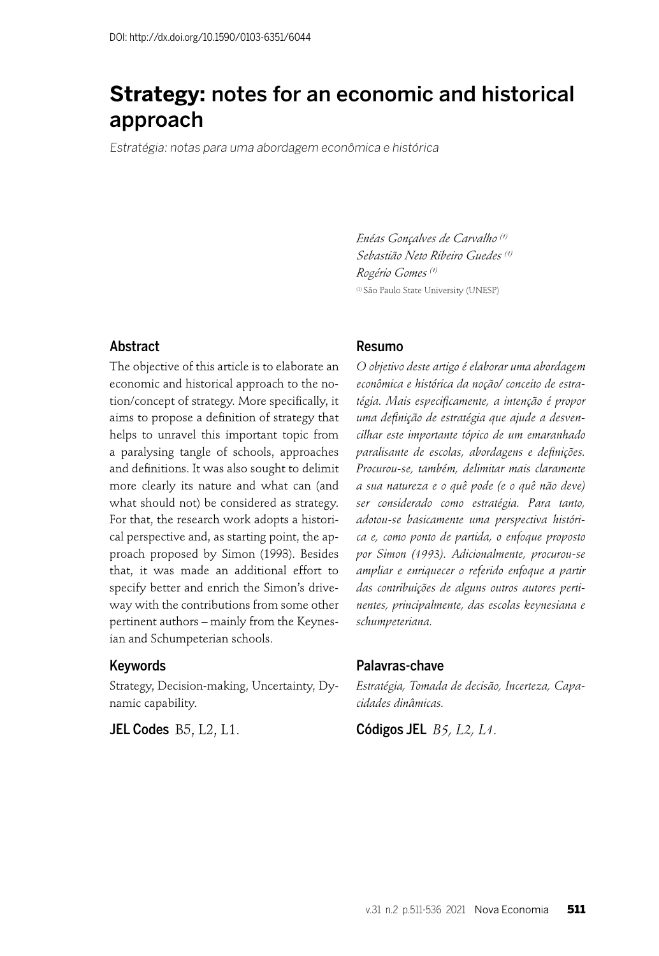# **Strategy:** notes for an economic and historical approach

Estratégia: notas para uma abordagem econômica e histórica

*Enéas Gonçalves de Carvalho (1) Sebastião Neto Ribeiro Guedes (1) Rogério Gomes (1)* (1) São Paulo State University (UNESP)

### Abstract

The objective of this article is to elaborate an economic and historical approach to the notion/concept of strategy. More specifically, it aims to propose a definition of strategy that helps to unravel this important topic from a paralysing tangle of schools, approaches and definitions. It was also sought to delimit more clearly its nature and what can (and what should not) be considered as strategy. For that, the research work adopts a historical perspective and, as starting point, the approach proposed by Simon (1993). Besides that, it was made an additional effort to specify better and enrich the Simon's driveway with the contributions from some other pertinent authors – mainly from the Keynesian and Schumpeterian schools.

#### Keywords

Strategy, Decision-making, Uncertainty, Dynamic capability.

**JEL Codes** B5, L2, L1.

#### Resumo

*O objetivo deste artigo é elaborar uma abordagem econômica e histórica da noção/ conceito de estratégia. Mais especifi camente, a intenção é propor*  uma definição de estratégia que ajude a desven*cilhar este importante tópico de um emaranhado*  paralisante de escolas, abordagens e definições. *Procurou-se, também, delimitar mais claramente a sua natureza e o quê pode (e o quê não deve) ser considerado como estratégia. Para tanto, adotou-se basicamente uma perspectiva histórica e, como ponto de partida, o enfoque proposto por Simon (1993). Adicionalmente, procurou-se ampliar e enriquecer o referido enfoque a partir das contribuições de alguns outros autores pertinentes, principalmente, das escolas keynesiana e schumpeteriana.* 

### Palavras-chave

*Estratégia, Tomada de decisão, Incerteza, Capacidades dinâmicas.*

Códigos JEL *B5, L2, L1.*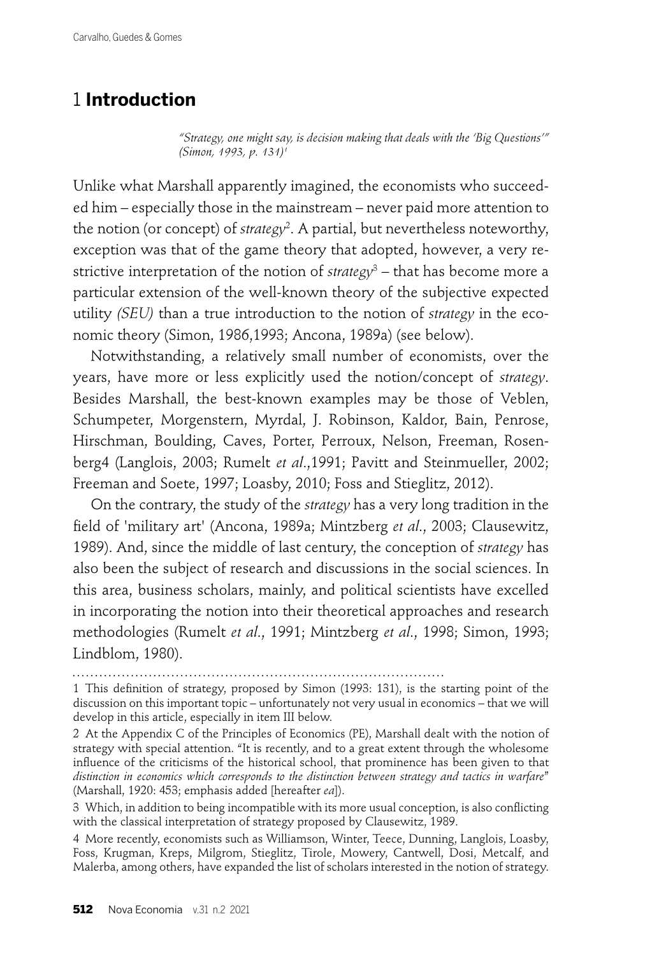# 1 **Introduction**

*"Strategy, one might say, is decision making that deals with the 'Big Questions'" (Simon, 1993, p. 131)1*

Unlike what Marshall apparently imagined, the economists who succeeded him – especially those in the mainstream – never paid more attention to the notion (or concept) of *strategy*<sup>2</sup> . A partial, but nevertheless noteworthy, exception was that of the game theory that adopted, however, a very restrictive interpretation of the notion of *strategy*<sup>3</sup> – that has become more a particular extension of the well-known theory of the subjective expected utility *(SEU)* than a true introduction to the notion of *strategy* in the economic theory (Simon, 1986,1993; Ancona, 1989a) (see below).

Notwithstanding, a relatively small number of economists, over the years, have more or less explicitly used the notion/concept of *strategy*. Besides Marshall, the best-known examples may be those of Veblen, Schumpeter, Morgenstern, Myrdal, J. Robinson, Kaldor, Bain, Penrose, Hirschman, Boulding, Caves, Porter, Perroux, Nelson, Freeman, Rosenberg4 (Langlois, 2003; Rumelt *et al*.,1991; Pavitt and Steinmueller, 2002; Freeman and Soete, 1997; Loasby, 2010; Foss and Stieglitz, 2012).

On the contrary, the study of the *strategy* has a very long tradition in the field of 'military art' (Ancona, 1989a; Mintzberg et al., 2003; Clausewitz, 1989). And, since the middle of last century, the conception of *strategy* has also been the subject of research and discussions in the social sciences. In this area, business scholars, mainly, and political scientists have excelled in incorporating the notion into their theoretical approaches and research methodologies (Rumelt *et al*., 1991; Mintzberg *et al*., 1998; Simon, 1993; Lindblom, 1980).

<sup>1</sup> This definition of strategy, proposed by Simon (1993: 131), is the starting point of the discussion on this important topic – unfortunately not very usual in economics – that we will develop in this article, especially in item III below.

<sup>2</sup> At the Appendix C of the Principles of Economics (PE), Marshall dealt with the notion of strategy with special attention. "It is recently, and to a great extent through the wholesome influence of the criticisms of the historical school, that prominence has been given to that *distinction in economics which corresponds to the distinction between strategy and tactics in warfare*" (Marshall, 1920: 453; emphasis added [hereafter *ea*]).

<sup>3</sup> Which, in addition to being incompatible with its more usual conception, is also conflicting with the classical interpretation of strategy proposed by Clausewitz, 1989.

<sup>4</sup> More recently, economists such as Williamson, Winter, Teece, Dunning, Langlois, Loasby, Foss, Krugman, Kreps, Milgrom, Stieglitz, Tirole, Mowery, Cantwell, Dosi, Metcalf, and Malerba, among others, have expanded the list of scholars interested in the notion of strategy.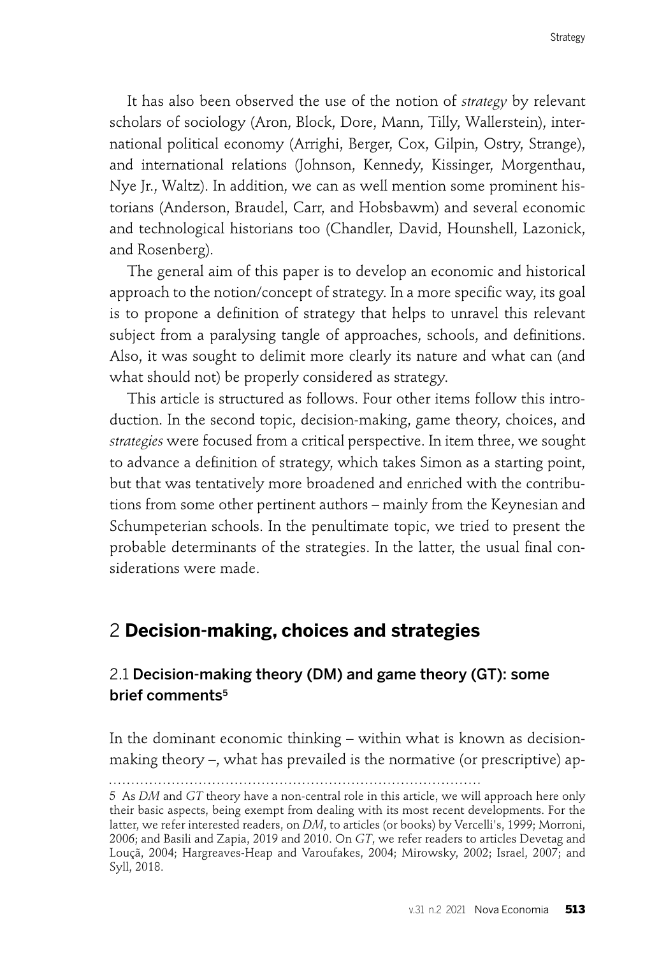It has also been observed the use of the notion of *strategy* by relevant scholars of sociology (Aron, Block, Dore, Mann, Tilly, Wallerstein), international political economy (Arrighi, Berger, Cox, Gilpin, Ostry, Strange), and international relations (Johnson, Kennedy, Kissinger, Morgenthau, Nye Jr., Waltz). In addition, we can as well mention some prominent historians (Anderson, Braudel, Carr, and Hobsbawm) and several economic and technological historians too (Chandler, David, Hounshell, Lazonick, and Rosenberg).

The general aim of this paper is to develop an economic and historical approach to the notion/concept of strategy. In a more specific way, its goal is to propone a definition of strategy that helps to unravel this relevant subject from a paralysing tangle of approaches, schools, and definitions. Also, it was sought to delimit more clearly its nature and what can (and what should not) be properly considered as strategy.

This article is structured as follows. Four other items follow this introduction. In the second topic, decision-making, game theory, choices, and *strategies* were focused from a critical perspective. In item three, we sought to advance a definition of strategy, which takes Simon as a starting point, but that was tentatively more broadened and enriched with the contributions from some other pertinent authors – mainly from the Keynesian and Schumpeterian schools. In the penultimate topic, we tried to present the probable determinants of the strategies. In the latter, the usual final considerations were made.

## 2 **Decision-making, choices and strategies**

## 2.1 Decision-making theory (DM) and game theory (GT): some brief comments<sup>5</sup>

In the dominant economic thinking – within what is known as decisionmaking theory –, what has prevailed is the normative (or prescriptive) ap-

<sup>5</sup> As *DM* and *GT* theory have a non-central role in this article, we will approach here only their basic aspects, being exempt from dealing with its most recent developments. For the latter, we refer interested readers, on *DM*, to articles (or books) by Vercelli's, 1999; Morroni, 2006; and Basili and Zapia, 2019 and 2010. On *GT*, we refer readers to articles Devetag and Louçã, 2004; Hargreaves-Heap and Varoufakes, 2004; Mirowsky, 2002; Israel, 2007; and Syll, 2018.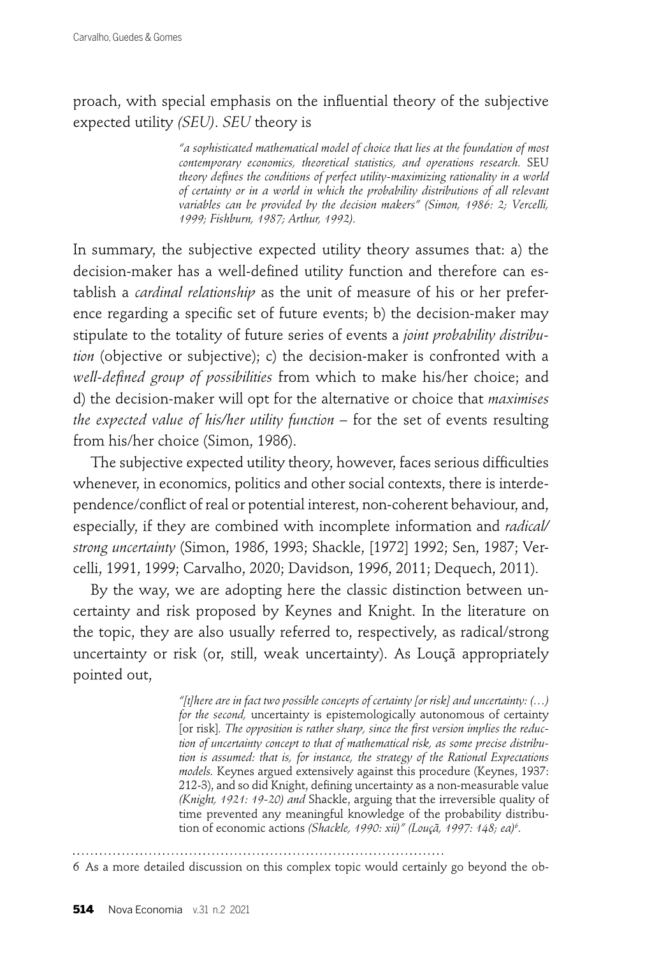proach, with special emphasis on the influential theory of the subjective expected utility *(SEU)*. *SEU* theory is

> *"a sophisticated mathematical model of choice that lies at the foundation of most contemporary economics, theoretical statistics, and operations research.* SEU theory defines the conditions of perfect utility-maximizing rationality in a world *of certainty or in a world in which the probability distributions of all relevant variables can be provided by the decision makers" (Simon, 1986: 2; Vercelli, 1999; Fishburn, 1987; Arthur, 1992).*

In summary, the subjective expected utility theory assumes that: a) the decision-maker has a well-defined utility function and therefore can establish a *cardinal relationship* as the unit of measure of his or her preference regarding a specific set of future events; b) the decision-maker may stipulate to the totality of future series of events a *joint probability distribution* (objective or subjective); c) the decision-maker is confronted with a *well-defi ned group of possibilities* from which to make his/her choice; and d) the decision-maker will opt for the alternative or choice that *maximises the expected value of his/her utility function –* for the set of events resulting from his/her choice (Simon, 1986).

The subjective expected utility theory, however, faces serious difficulties whenever, in economics, politics and other social contexts, there is interdependence/conflict of real or potential interest, non-coherent behaviour, and, especially, if they are combined with incomplete information and *radical/ strong uncertainty* (Simon, 1986, 1993; Shackle, [1972] 1992; Sen, 1987; Vercelli, 1991, 1999; Carvalho, 2020; Davidson, 1996, 2011; Dequech, 2011).

By the way, we are adopting here the classic distinction between uncertainty and risk proposed by Keynes and Knight. In the literature on the topic, they are also usually referred to, respectively, as radical/strong uncertainty or risk (or, still, weak uncertainty). As Louçã appropriately pointed out,

> *"[t]here are in fact two possible concepts of certainty [or risk] and uncertainty: (…) for the second,* uncertainty is epistemologically autonomous of certainty [or risk]. The *opposition is rather sharp, since the first version implies the reduction of uncertainty concept to that of mathematical risk, as some precise distribution is assumed: that is, for instance, the strategy of the Rational Expectations models.* Keynes argued extensively against this procedure (Keynes, 1937: 212-3), and so did Knight, defining uncertainty as a non-measurable value *(Knight, 1921: 19-20) and* Shackle, arguing that the irreversible quality of time prevented any meaningful knowledge of the probability distribution of economic actions *(Shackle, 1990: xii)" (Louçã, 1997: 148; ea)6 .*

6 As a more detailed discussion on this complex topic would certainly go beyond the ob-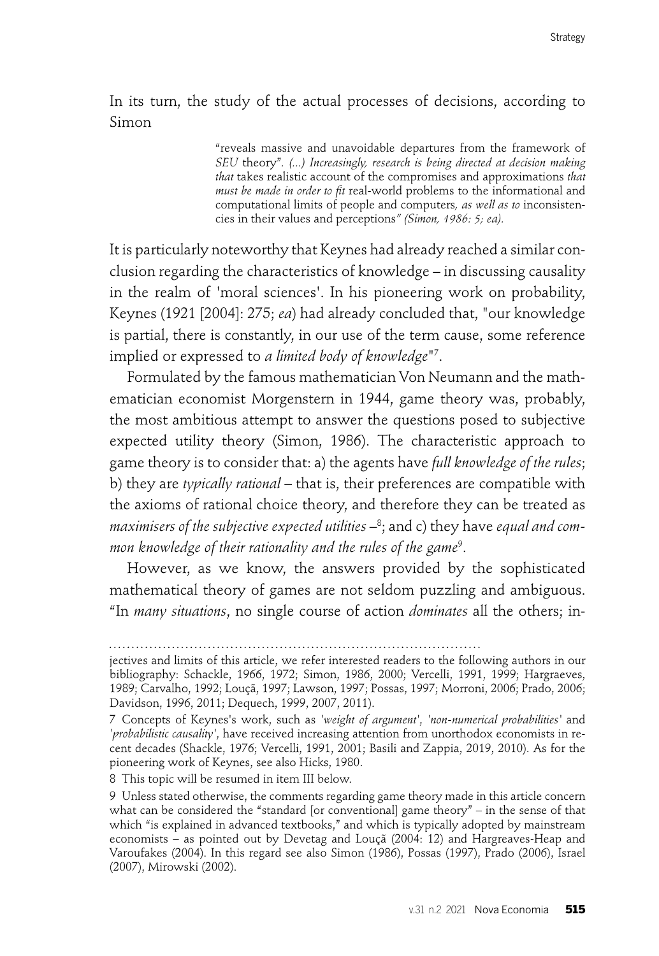In its turn, the study of the actual processes of decisions, according to Simon

> "reveals massive and unavoidable departures from the framework of *SEU* theory"*. (...) Increasingly, research is being directed at decision making that* takes realistic account of the compromises and approximations *that*  must be made in order to fit real-world problems to the informational and computational limits of people and computers*, as well as to* inconsistencies in their values and perceptions*" (Simon, 1986: 5; ea).*

It is particularly noteworthy that Keynes had already reached a similar conclusion regarding the characteristics of knowledge – in discussing causality in the realm of 'moral sciences'. In his pioneering work on probability, Keynes (1921 [2004]: 275; *ea*) had already concluded that, "our knowledge is partial, there is constantly, in our use of the term cause, some reference implied or expressed to *a limited body of knowledge*"7 .

Formulated by the famous mathematician Von Neumann and the mathematician economist Morgenstern in 1944, game theory was, probably, the most ambitious attempt to answer the questions posed to subjective expected utility theory (Simon, 1986). The characteristic approach to game theory is to consider that: a) the agents have *full knowledge of the rules*; b) they are *typically rational* – that is, their preferences are compatible with the axioms of rational choice theory, and therefore they can be treated as maximisers of the subjective expected utilities  $-\text{^8}$ ; and c) they have *equal and common knowledge of their rationality and the rules of the game*<sup>9</sup> .

However, as we know, the answers provided by the sophisticated mathematical theory of games are not seldom puzzling and ambiguous. "In *many situations*, no single course of action *dominates* all the others; in-

8 This topic will be resumed in item III below.

jectives and limits of this article, we refer interested readers to the following authors in our bibliography: Schackle, 1966, 1972; Simon, 1986, 2000; Vercelli, 1991, 1999; Hargraeves, 1989; Carvalho, 1992; Louçã, 1997; Lawson, 1997; Possas, 1997; Morroni, 2006; Prado, 2006; Davidson, 1996, 2011; Dequech, 1999, 2007, 2011).

<sup>7</sup> Concepts of Keynes's work, such as *'weight of argument'*, *'non-numerical probabilities'* and *'probabilistic causality'*, have received increasing attention from unorthodox economists in recent decades (Shackle, 1976; Vercelli, 1991, 2001; Basili and Zappia, 2019, 2010). As for the pioneering work of Keynes, see also Hicks, 1980.

<sup>9</sup> Unless stated otherwise, the comments regarding game theory made in this article concern what can be considered the "standard [or conventional] game theory" – in the sense of that which "is explained in advanced textbooks," and which is typically adopted by mainstream economists – as pointed out by Devetag and Louçã (2004: 12) and Hargreaves-Heap and Varoufakes (2004). In this regard see also Simon (1986), Possas (1997), Prado (2006), Israel (2007), Mirowski (2002).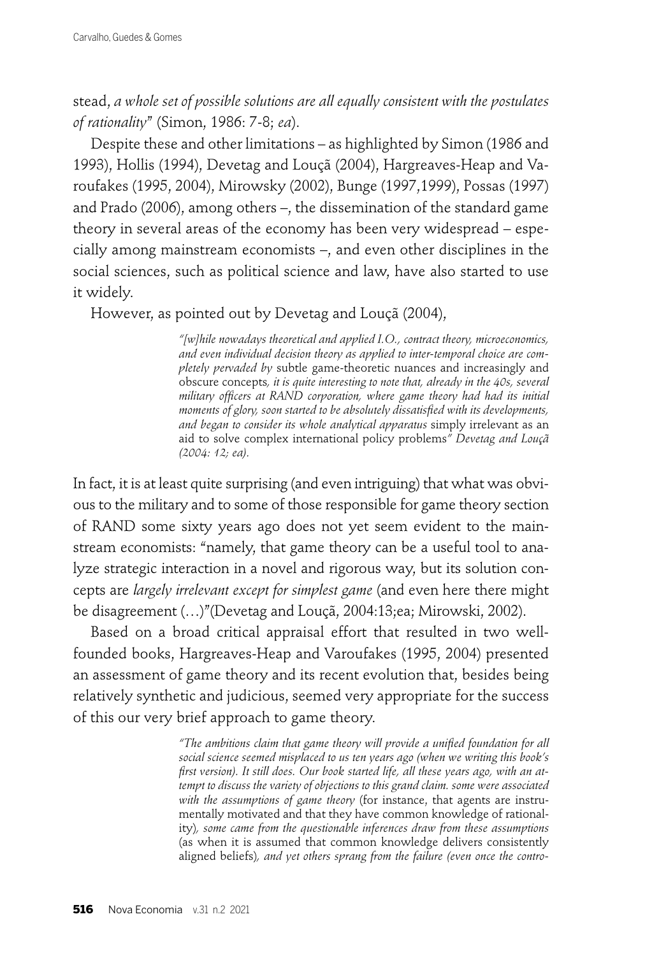stead, *a whole set of possible solutions are all equally consistent with the postulates of rationality*" (Simon, 1986: 7-8; *ea*).

Despite these and other limitations – as highlighted by Simon (1986 and 1993), Hollis (1994), Devetag and Louçã (2004), Hargreaves-Heap and Varoufakes (1995, 2004), Mirowsky (2002), Bunge (1997,1999), Possas (1997) and Prado (2006), among others –, the dissemination of the standard game theory in several areas of the economy has been very widespread – especially among mainstream economists –, and even other disciplines in the social sciences, such as political science and law, have also started to use it widely.

However, as pointed out by Devetag and Louçã (2004),

*"[w]hile nowadays theoretical and applied I.O., contract theory, microeconomics, and even individual decision theory as applied to inter-temporal choice are completely pervaded by* subtle game-theoretic nuances and increasingly and obscure concepts*, it is quite interesting to note that, already in the 40s, several military officers at RAND corporation, where game theory had had its initial moments of glory, soon started to be absolutely dissatisfied with its developments, and began to consider its whole analytical apparatus* simply irrelevant as an aid to solve complex international policy problems*" Devetag and Louçã (2004: 12; ea).*

In fact, it is at least quite surprising (and even intriguing) that what was obvious to the military and to some of those responsible for game theory section of RAND some sixty years ago does not yet seem evident to the mainstream economists: "namely, that game theory can be a useful tool to analyze strategic interaction in a novel and rigorous way, but its solution concepts are *largely irrelevant except for simplest game* (and even here there might be disagreement (…)"(Devetag and Louçã, 2004:13;ea; Mirowski, 2002).

Based on a broad critical appraisal effort that resulted in two wellfounded books, Hargreaves-Heap and Varoufakes (1995, 2004) presented an assessment of game theory and its recent evolution that, besides being relatively synthetic and judicious, seemed very appropriate for the success of this our very brief approach to game theory.

> "The ambitions claim that game theory will provide a unified foundation for all *social science seemed misplaced to us ten years ago (when we writing this book's*  first version). It still does. Our book started life, all these years ago, with an at*tempt to discuss the variety of objections to this grand claim. some were associated with the assumptions of game theory* (for instance, that agents are instrumentally motivated and that they have common knowledge of rationality)*, some came from the questionable inferences draw from these assumptions*  (as when it is assumed that common knowledge delivers consistently aligned beliefs)*, and yet others sprang from the failure (even once the contro-*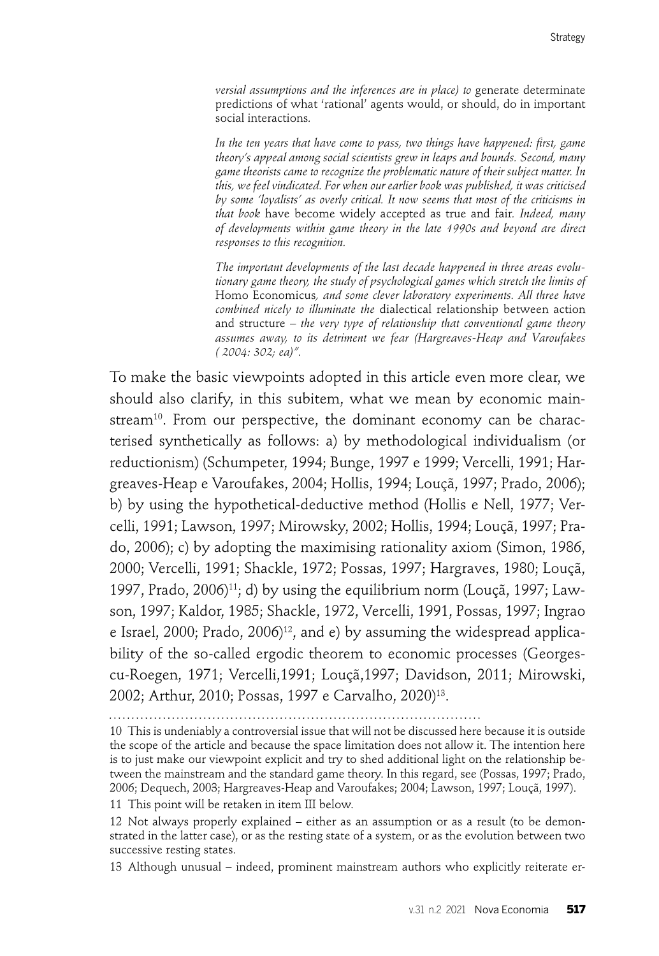*versial assumptions and the inferences are in place) to* generate determinate predictions of what 'rational' agents would, or should, do in important social interactions*.*

In the ten years that have come to pass, two things have happened: first, game *theory's appeal among social scientists grew in leaps and bounds. Second, many game theorists came to recognize the problematic nature of their subject matter. In this, we feel vindicated. For when our earlier book was published, it was criticised by some 'loyalists' as overly critical. It now seems that most of the criticisms in that book* have become widely accepted as true and fair*. Indeed, many of developments within game theory in the late 1990s and beyond are direct responses to this recognition.*

*The important developments of the last decade happened in three areas evolutionary game theory, the study of psychological games which stretch the limits of*  Homo Economicus*, and some clever laboratory experiments. All three have combined nicely to illuminate the* dialectical relationship between action and structure – *the very type of relationship that conventional game theory assumes away, to its detriment we fear (Hargreaves-Heap and Varoufakes ( 2004: 302; ea)".*

To make the basic viewpoints adopted in this article even more clear, we should also clarify, in this subitem, what we mean by economic mainstream<sup>10</sup>. From our perspective, the dominant economy can be characterised synthetically as follows: a) by methodological individualism (or reductionism) (Schumpeter, 1994; Bunge, 1997 e 1999; Vercelli, 1991; Hargreaves-Heap e Varoufakes, 2004; Hollis, 1994; Louçã, 1997; Prado, 2006); b) by using the hypothetical-deductive method (Hollis e Nell, 1977; Vercelli, 1991; Lawson, 1997; Mirowsky, 2002; Hollis, 1994; Louçã, 1997; Prado, 2006); c) by adopting the maximising rationality axiom (Simon, 1986, 2000; Vercelli, 1991; Shackle, 1972; Possas, 1997; Hargraves, 1980; Louçã, 1997, Prado, 2006)11; d) by using the equilibrium norm (Louçã, 1997; Lawson, 1997; Kaldor, 1985; Shackle, 1972, Vercelli, 1991, Possas, 1997; Ingrao e Israel,  $2000$ ; Prado,  $2006$ <sup>12</sup>, and e) by assuming the widespread applicability of the so-called ergodic theorem to economic processes (Georgescu-Roegen, 1971; Vercelli,1991; Louçã,1997; Davidson, 2011; Mirowski, 2002; Arthur, 2010; Possas, 1997 e Carvalho, 2020)13.

10 This is undeniably a controversial issue that will not be discussed here because it is outside the scope of the article and because the space limitation does not allow it. The intention here is to just make our viewpoint explicit and try to shed additional light on the relationship between the mainstream and the standard game theory. In this regard, see (Possas, 1997; Prado, 2006; Dequech, 2003; Hargreaves-Heap and Varoufakes; 2004; Lawson, 1997; Louçã, 1997).

11 This point will be retaken in item III below.

12 Not always properly explained – either as an assumption or as a result (to be demonstrated in the latter case), or as the resting state of a system, or as the evolution between two successive resting states.

13 Although unusual – indeed, prominent mainstream authors who explicitly reiterate er-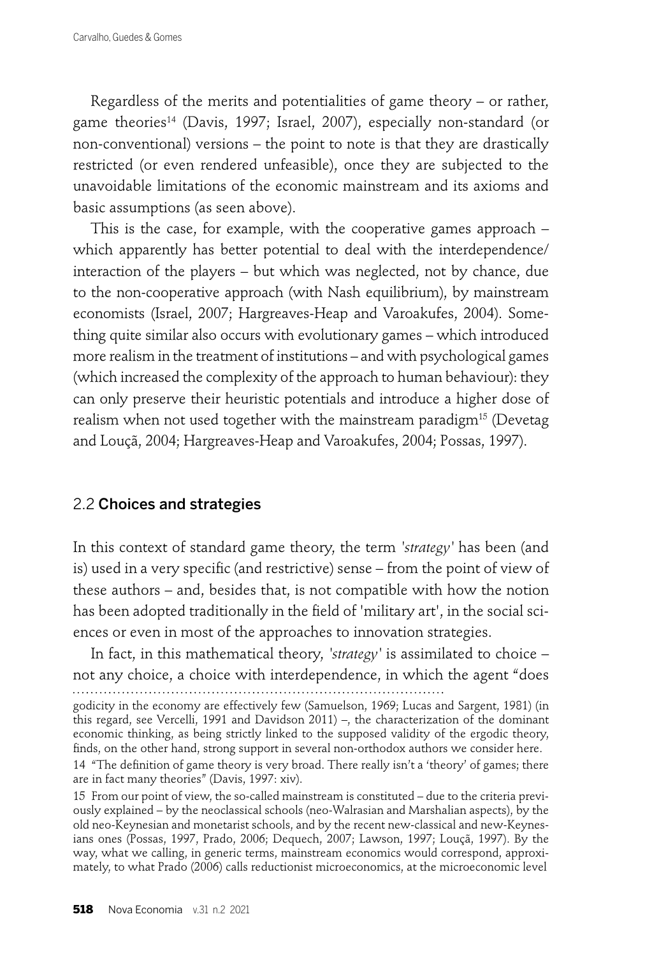Regardless of the merits and potentialities of game theory – or rather, game theories<sup>14</sup> (Davis, 1997; Israel, 2007), especially non-standard (or non-conventional) versions – the point to note is that they are drastically restricted (or even rendered unfeasible), once they are subjected to the unavoidable limitations of the economic mainstream and its axioms and basic assumptions (as seen above).

This is the case, for example, with the cooperative games approach – which apparently has better potential to deal with the interdependence/ interaction of the players – but which was neglected, not by chance, due to the non-cooperative approach (with Nash equilibrium), by mainstream economists (Israel, 2007; Hargreaves-Heap and Varoakufes, 2004). Something quite similar also occurs with evolutionary games – which introduced more realism in the treatment of institutions – and with psychological games (which increased the complexity of the approach to human behaviour): they can only preserve their heuristic potentials and introduce a higher dose of realism when not used together with the mainstream paradigm<sup>15</sup> (Devetag and Louçã, 2004; Hargreaves-Heap and Varoakufes, 2004; Possas, 1997).

### 2.2 Choices and strategies

In this context of standard game theory, the term *'strategy'* has been (and is) used in a very specific (and restrictive) sense – from the point of view of these authors – and, besides that, is not compatible with how the notion has been adopted traditionally in the field of 'military art', in the social sciences or even in most of the approaches to innovation strategies.

In fact, in this mathematical theory, *'strategy'* is assimilated to choice – not any choice, a choice with interdependence, in which the agent "does 

15 From our point of view, the so-called mainstream is constituted – due to the criteria previously explained – by the neoclassical schools (neo-Walrasian and Marshalian aspects), by the old neo-Keynesian and monetarist schools, and by the recent new-classical and new-Keynesians ones (Possas, 1997, Prado, 2006; Dequech, 2007; Lawson, 1997; Louçã, 1997). By the way, what we calling, in generic terms, mainstream economics would correspond, approximately, to what Prado (2006) calls reductionist microeconomics, at the microeconomic level

godicity in the economy are effectively few (Samuelson, 1969; Lucas and Sargent, 1981) (in this regard, see Vercelli, 1991 and Davidson 2011) –, the characterization of the dominant economic thinking, as being strictly linked to the supposed validity of the ergodic theory, finds, on the other hand, strong support in several non-orthodox authors we consider here.

<sup>14 &</sup>quot;The definition of game theory is very broad. There really isn't a 'theory' of games; there are in fact many theories" (Davis, 1997: xiv).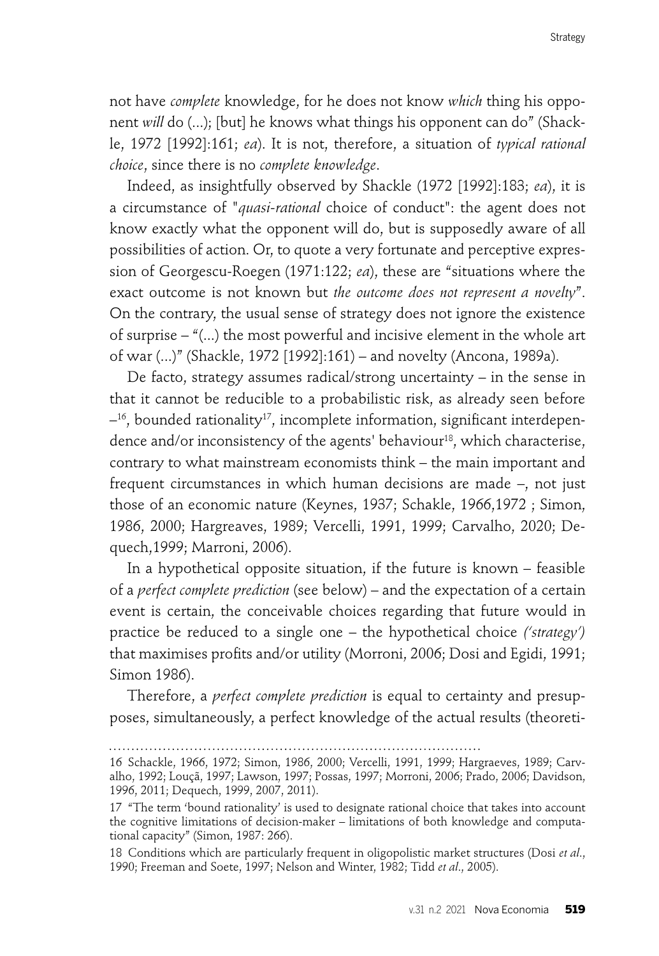not have *complete* knowledge, for he does not know *which* thing his opponent *will* do (...); [but] he knows what things his opponent can do" (Shackle, 1972 [1992]:161; *ea*). It is not, therefore, a situation of *typical rational choice*, since there is no *complete knowledge*.

Indeed, as insightfully observed by Shackle (1972 [1992]:183; *ea*), it is a circumstance of "*quasi-rational* choice of conduct": the agent does not know exactly what the opponent will do, but is supposedly aware of all possibilities of action. Or, to quote a very fortunate and perceptive expression of Georgescu-Roegen (1971:122; *ea*), these are "situations where the exact outcome is not known but *the outcome does not represent a novelty*". On the contrary, the usual sense of strategy does not ignore the existence of surprise – "(...) the most powerful and incisive element in the whole art of war (...)" (Shackle, 1972 [1992]:161) – and novelty (Ancona, 1989a).

De facto, strategy assumes radical/strong uncertainty – in the sense in that it cannot be reducible to a probabilistic risk, as already seen before  $-16$ , bounded rationality<sup>17</sup>, incomplete information, significant interdependence and/or inconsistency of the agents' behaviour<sup>18</sup>, which characterise, contrary to what mainstream economists think – the main important and frequent circumstances in which human decisions are made –, not just those of an economic nature (Keynes, 1937; Schakle, 1966,1972 ; Simon, 1986, 2000; Hargreaves, 1989; Vercelli, 1991, 1999; Carvalho, 2020; Dequech,1999; Marroni, 2006).

In a hypothetical opposite situation, if the future is known – feasible of a *perfect complete prediction* (see below) – and the expectation of a certain event is certain, the conceivable choices regarding that future would in practice be reduced to a single one – the hypothetical choice *('strategy')*  that maximises profits and/or utility (Morroni, 2006; Dosi and Egidi, 1991; Simon 1986).

Therefore, a *perfect complete prediction* is equal to certainty and presupposes, simultaneously, a perfect knowledge of the actual results (theoreti-

<sup>16</sup> Schackle, 1966, 1972; Simon, 1986, 2000; Vercelli, 1991, 1999; Hargraeves, 1989; Carvalho, 1992; Louçã, 1997; Lawson, 1997; Possas, 1997; Morroni, 2006; Prado, 2006; Davidson, 1996, 2011; Dequech, 1999, 2007, 2011).

<sup>17 &</sup>quot;The term 'bound rationality' is used to designate rational choice that takes into account the cognitive limitations of decision-maker – limitations of both knowledge and computational capacity" (Simon, 1987: 266).

<sup>18</sup> Conditions which are particularly frequent in oligopolistic market structures (Dosi *et al*., 1990; Freeman and Soete, 1997; Nelson and Winter, 1982; Tidd *et al*., 2005).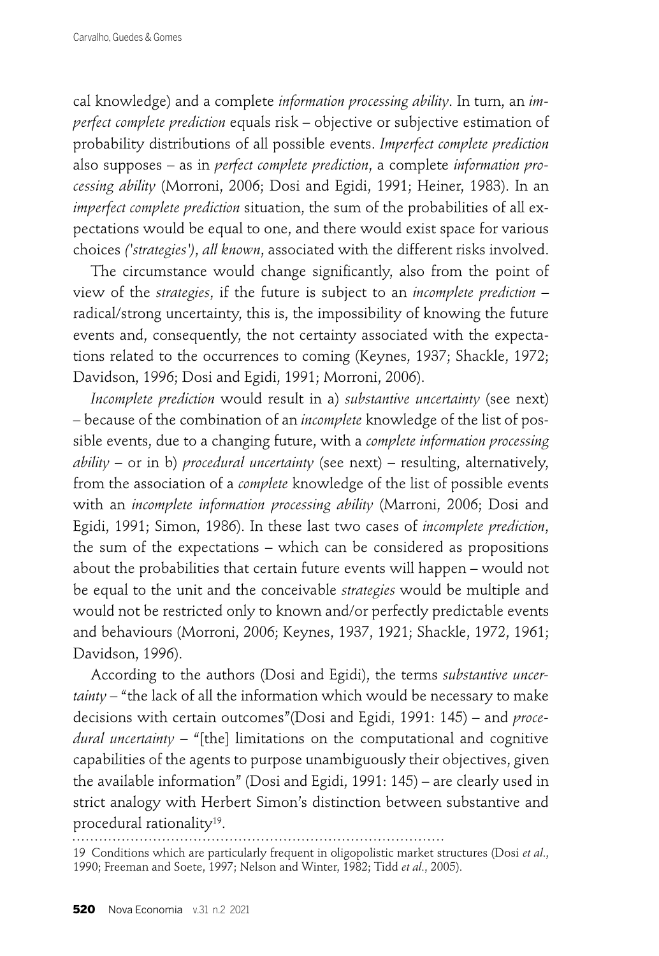cal knowledge) and a complete *information processing ability*. In turn, an *imperfect complete prediction* equals risk – objective or subjective estimation of probability distributions of all possible events. *Imperfect complete prediction*  also supposes – as in *perfect complete prediction*, a complete *information processing ability* (Morroni, 2006; Dosi and Egidi, 1991; Heiner, 1983). In an *imperfect complete prediction* situation, the sum of the probabilities of all expectations would be equal to one, and there would exist space for various choices *('strategies')*, *all known*, associated with the different risks involved.

The circumstance would change significantly, also from the point of view of the *strategies*, if the future is subject to an *incomplete prediction* – radical/strong uncertainty, this is, the impossibility of knowing the future events and, consequently, the not certainty associated with the expectations related to the occurrences to coming (Keynes, 1937; Shackle, 1972; Davidson, 1996; Dosi and Egidi, 1991; Morroni, 2006).

*Incomplete prediction* would result in a) *substantive uncertainty* (see next) – because of the combination of an *incomplete* knowledge of the list of possible events, due to a changing future, with a *complete information processing ability* – or in b) *procedural uncertainty* (see next) – resulting, alternatively, from the association of a *complete* knowledge of the list of possible events with an *incomplete information processing ability* (Marroni, 2006; Dosi and Egidi, 1991; Simon, 1986). In these last two cases of *incomplete prediction*, the sum of the expectations – which can be considered as propositions about the probabilities that certain future events will happen – would not be equal to the unit and the conceivable *strategies* would be multiple and would not be restricted only to known and/or perfectly predictable events and behaviours (Morroni, 2006; Keynes, 1937, 1921; Shackle, 1972, 1961; Davidson, 1996).

According to the authors (Dosi and Egidi), the terms *substantive uncertainty* – "the lack of all the information which would be necessary to make decisions with certain outcomes"(Dosi and Egidi, 1991: 145) – and *procedural uncertainty* – "[the] limitations on the computational and cognitive capabilities of the agents to purpose unambiguously their objectives, given the available information" (Dosi and Egidi, 1991: 145) – are clearly used in strict analogy with Herbert Simon's distinction between substantive and procedural rationality19.

19 Conditions which are particularly frequent in oligopolistic market structures (Dosi *et al*., 1990; Freeman and Soete, 1997; Nelson and Winter, 1982; Tidd *et al*., 2005).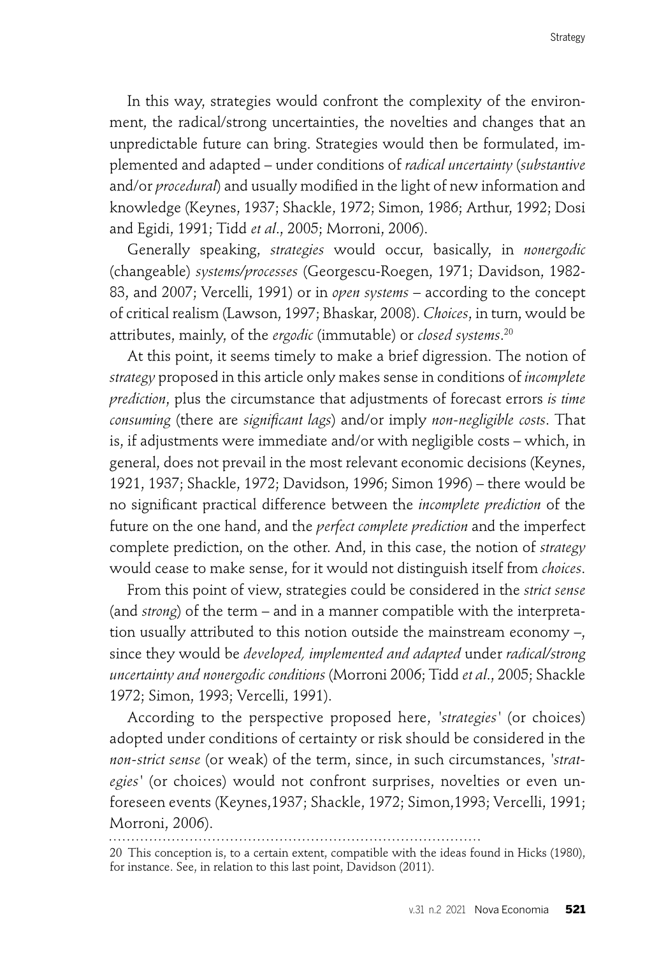In this way, strategies would confront the complexity of the environment, the radical/strong uncertainties, the novelties and changes that an unpredictable future can bring. Strategies would then be formulated, implemented and adapted – under conditions of *radical uncertainty* (*substantive* and/or *procedural*) and usually modified in the light of new information and knowledge (Keynes, 1937; Shackle, 1972; Simon, 1986; Arthur, 1992; Dosi and Egidi, 1991; Tidd *et al*., 2005; Morroni, 2006).

Generally speaking, *strategies* would occur, basically, in *nonergodic* (changeable) *systems/processes* (Georgescu-Roegen, 1971; Davidson, 1982- 83, and 2007; Vercelli, 1991) or in *open systems* – according to the concept of critical realism (Lawson, 1997; Bhaskar, 2008). *Choices*, in turn, would be attributes, mainly, of the *ergodic* (immutable) or *closed systems*. 20

At this point, it seems timely to make a brief digression. The notion of *strategy* proposed in this article only makes sense in conditions of *incomplete prediction*, plus the circumstance that adjustments of forecast errors *is time consuming* (there are *significant lags*) and/or imply *non-negligible costs*. That is, if adjustments were immediate and/or with negligible costs – which, in general, does not prevail in the most relevant economic decisions (Keynes, 1921, 1937; Shackle, 1972; Davidson, 1996; Simon 1996) – there would be no signifi cant practical difference between the *incomplete prediction* of the future on the one hand, and the *perfect complete prediction* and the imperfect complete prediction, on the other. And, in this case, the notion of *strategy* would cease to make sense, for it would not distinguish itself from *choices*.

From this point of view, strategies could be considered in the *strict sense* (and *strong*) of the term – and in a manner compatible with the interpretation usually attributed to this notion outside the mainstream economy –, since they would be *developed, implemented and adapted* under *radical/strong uncertainty and nonergodic conditions* (Morroni 2006; Tidd *et al*., 2005; Shackle 1972; Simon, 1993; Vercelli, 1991).

According to the perspective proposed here, *'strategies'* (or choices) adopted under conditions of certainty or risk should be considered in the *non-strict sense* (or weak) of the term, since, in such circumstances, *'strategies'* (or choices) would not confront surprises, novelties or even unforeseen events (Keynes,1937; Shackle, 1972; Simon,1993; Vercelli, 1991; Morroni, 2006).

<sup>20</sup> This conception is, to a certain extent, compatible with the ideas found in Hicks (1980), for instance. See, in relation to this last point, Davidson (2011).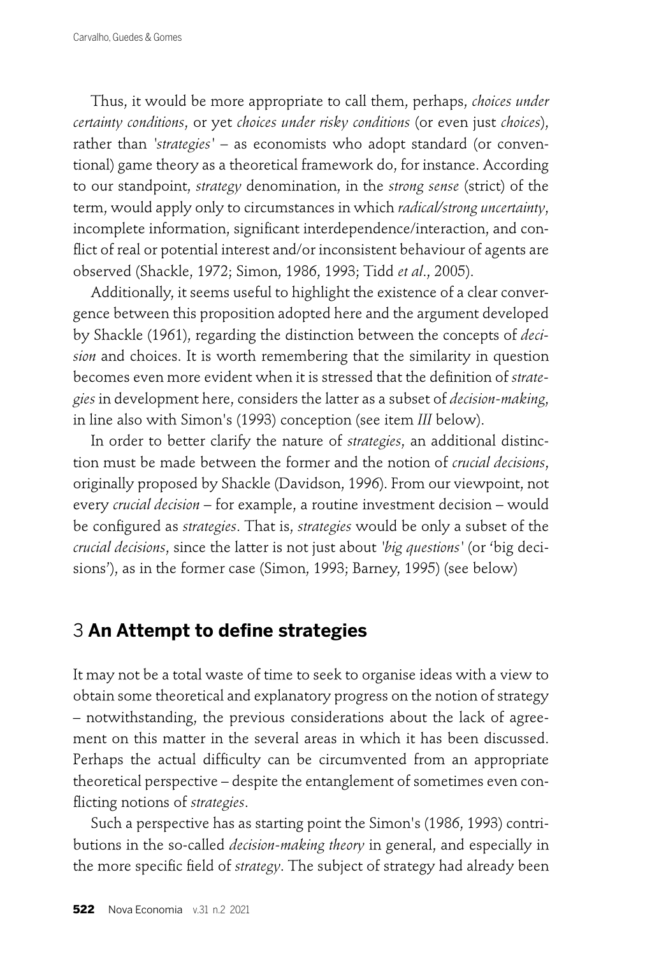Thus, it would be more appropriate to call them, perhaps, *choices under certainty conditions*, or yet *choices under risky conditions* (or even just *choices*), rather than *'strategies'* – as economists who adopt standard (or conventional) game theory as a theoretical framework do, for instance. According to our standpoint, *strategy* denomination, in the *strong sense* (strict) of the term, would apply only to circumstances in which *radical/strong uncertainty*, incomplete information, significant interdependence/interaction, and conflict of real or potential interest and/or inconsistent behaviour of agents are observed (Shackle, 1972; Simon, 1986, 1993; Tidd *et al*., 2005).

Additionally, it seems useful to highlight the existence of a clear convergence between this proposition adopted here and the argument developed by Shackle (1961), regarding the distinction between the concepts of *decision* and choices. It is worth remembering that the similarity in question becomes even more evident when it is stressed that the definition of *strategies* in development here, considers the latter as a subset of *decision-making*, in line also with Simon's (1993) conception (see item *III* below).

In order to better clarify the nature of *strategies*, an additional distinction must be made between the former and the notion of *crucial decisions*, originally proposed by Shackle (Davidson, 1996). From our viewpoint, not every *crucial decision* – for example, a routine investment decision – would be configured as *strategies*. That is, *strategies* would be only a subset of the *crucial decisions*, since the latter is not just about *'big questions'* (or 'big decisions'), as in the former case (Simon, 1993; Barney, 1995) (see below)

## **3 An Attempt to define strategies**

It may not be a total waste of time to seek to organise ideas with a view to obtain some theoretical and explanatory progress on the notion of strategy – notwithstanding, the previous considerations about the lack of agreement on this matter in the several areas in which it has been discussed. Perhaps the actual difficulty can be circumvented from an appropriate theoretical perspective – despite the entanglement of sometimes even conflicting notions of *strategies*.

Such a perspective has as starting point the Simon's (1986, 1993) contributions in the so-called *decision-making theory* in general, and especially in the more specific field of *strategy*. The subject of strategy had already been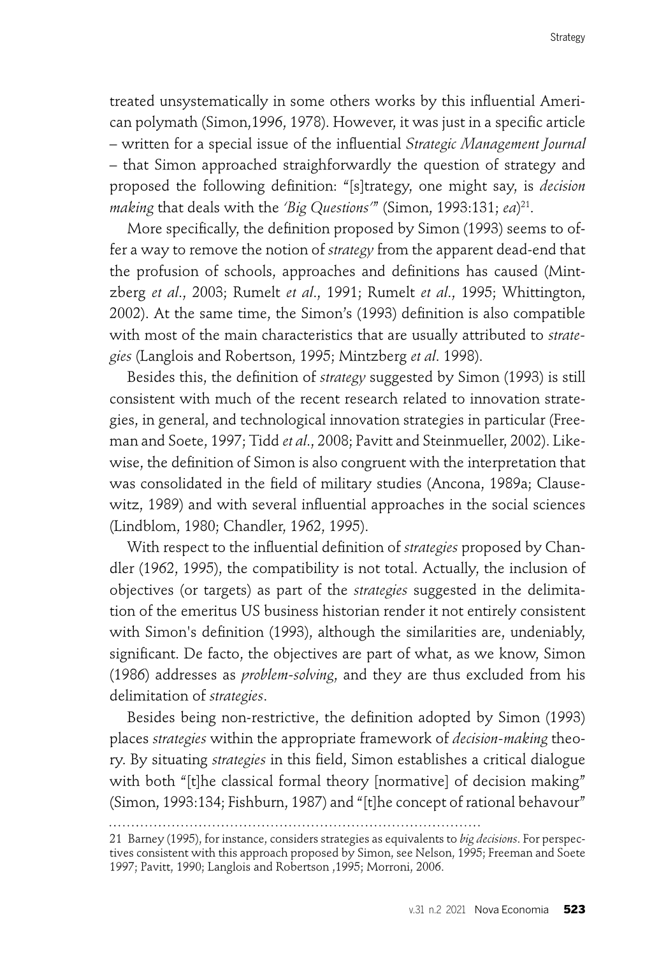treated unsystematically in some others works by this influential American polymath (Simon, 1996, 1978). However, it was just in a specific article – written for a special issue of the infl uential *Strategic Management Journal –* that Simon approached straighforwardly the question of strategy and proposed the following definition: "[s]trategy, one might say, is *decision making* that deals with the *'Big Questions'*" (Simon, 1993:131; *ea*) 21.

More specifically, the definition proposed by Simon (1993) seems to offer a way to remove the notion of *strategy* from the apparent dead-end that the profusion of schools, approaches and definitions has caused (Mintzberg *et al*., 2003; Rumelt *et al*., 1991; Rumelt *et al*., 1995; Whittington, 2002). At the same time, the Simon's (1993) definition is also compatible with most of the main characteristics that are usually attributed to *strategies* (Langlois and Robertson, 1995; Mintzberg *et al*. 1998).

Besides this, the definition of *strategy* suggested by Simon (1993) is still consistent with much of the recent research related to innovation strategies, in general, and technological innovation strategies in particular (Freeman and Soete, 1997; Tidd *et al*., 2008; Pavitt and Steinmueller, 2002). Likewise, the definition of Simon is also congruent with the interpretation that was consolidated in the field of military studies (Ancona, 1989a; Clausewitz, 1989) and with several influential approaches in the social sciences (Lindblom, 1980; Chandler, 1962, 1995).

With respect to the influential definition of *strategies* proposed by Chandler (1962, 1995), the compatibility is not total. Actually, the inclusion of objectives (or targets) as part of the *strategies* suggested in the delimitation of the emeritus US business historian render it not entirely consistent with Simon's definition (1993), although the similarities are, undeniably, significant. De facto, the objectives are part of what, as we know, Simon (1986) addresses as *problem-solving*, and they are thus excluded from his delimitation of *strategies*.

Besides being non-restrictive, the definition adopted by Simon (1993) places *strategies* within the appropriate framework of *decision-making* theory. By situating *strategies* in this field, Simon establishes a critical dialogue with both "[t]he classical formal theory [normative] of decision making" (Simon, 1993:134; Fishburn, 1987) and "[t]he concept of rational behavour"

<sup>21</sup> Barney (1995), for instance, considers strategies as equivalents to *big decisions*. For perspectives consistent with this approach proposed by Simon, see Nelson, 1995; Freeman and Soete 1997; Pavitt, 1990; Langlois and Robertson ,1995; Morroni, 2006.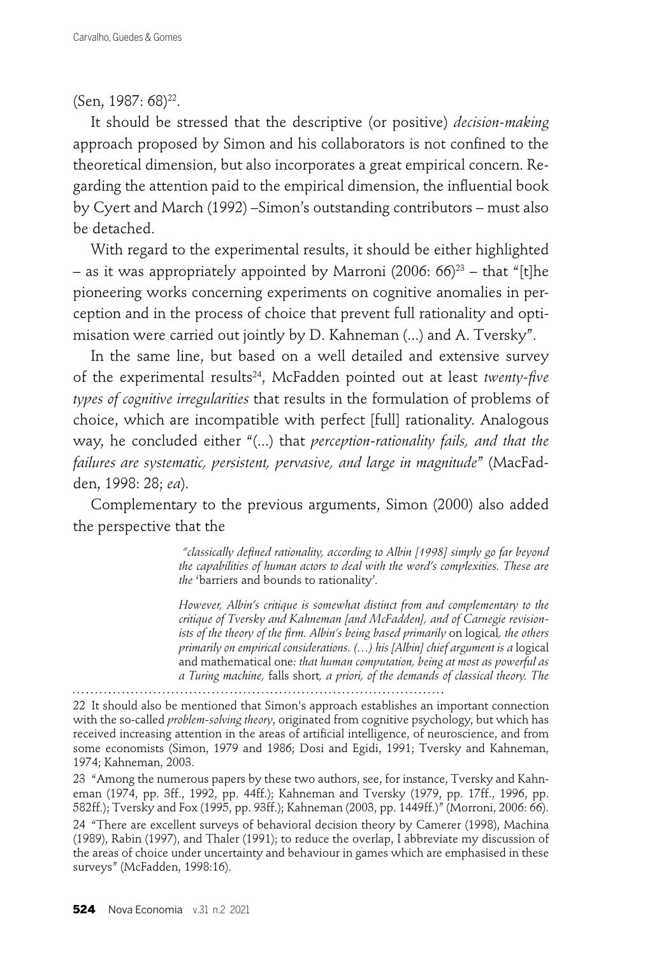### (Sen, 1987: 68)<sup>22</sup>.

It should be stressed that the descriptive (or positive) *decision-making* approach proposed by Simon and his collaborators is not confined to the theoretical dimension, but also incorporates a great empirical concern. Regarding the attention paid to the empirical dimension, the influential book by Cyert and March (1992) –Simon's outstanding contributors – must also be detached.

With regard to the experimental results, it should be either highlighted – as it was appropriately appointed by Marroni (2006:  $66$ )<sup>23</sup> – that "[t]he pioneering works concerning experiments on cognitive anomalies in perception and in the process of choice that prevent full rationality and optimisation were carried out jointly by D. Kahneman (...) and A. Tversky".

In the same line, but based on a well detailed and extensive survey of the experimental results<sup>24</sup>, McFadden pointed out at least *twenty-five types of cognitive irregularities* that results in the formulation of problems of choice, which are incompatible with perfect [full] rationality. Analogous way, he concluded either "(...) that *perception-rationality fails, and that the failures are systematic, persistent, pervasive, and large in magnitude*" (MacFadden, 1998: 28; *ea*).

Complementary to the previous arguments, Simon (2000) also added the perspective that the

> "classically defined rationality, according to Albin [1998] simply go far beyond *the capabilities of human actors to deal with the word's complexities. These are the* 'barriers and bounds to rationality'*.*

> *However, Albin's critique is somewhat distinct from and complementary to the critique of Tversky and Kahneman [and McFadden], and of Carnegie revisionists of the theory of the firm. Albin's being based primarily on logical, the others primarily on empirical considerations. (...) his [Albin] chief argument is a logical* and mathematical one*: that human computation, being at most as powerful as a Turing machine,* falls short*, a priori, of the demands of classical theory. The*

22 It should also be mentioned that Simon's approach establishes an important connection with the so-called *problem-solving theory*, originated from cognitive psychology, but which has received increasing attention in the areas of artificial intelligence, of neuroscience, and from some economists (Simon, 1979 and 1986; Dosi and Egidi, 1991; Tversky and Kahneman, 1974; Kahneman, 2003.

23 "Among the numerous papers by these two authors, see, for instance, Tversky and Kahneman (1974, pp. 3ff., 1992, pp. 44ff.); Kahneman and Tversky (1979, pp. 17ff., 1996, pp. 582ff.); Tversky and Fox (1995, pp. 93ff.); Kahneman (2003, pp. 1449ff.)" (Morroni, 2006: 66).

24 "There are excellent surveys of behavioral decision theory by Camerer (1998), Machina (1989), Rabin (1997), and Thaler (1991); to reduce the overlap, I abbreviate my discussion of the areas of choice under uncertainty and behaviour in games which are emphasised in these surveys" (McFadden, 1998:16).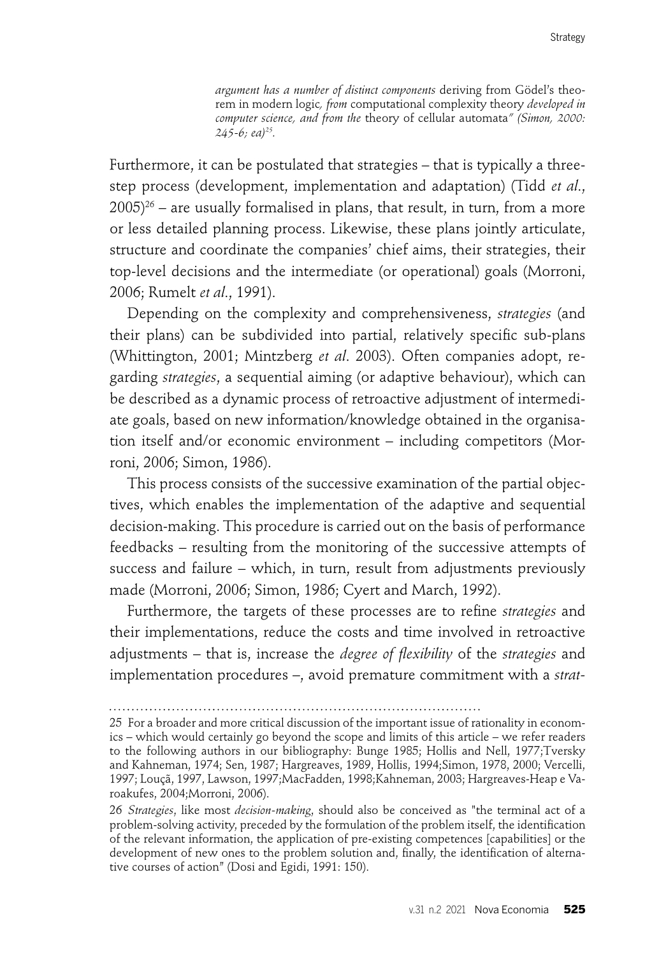*argument has a number of distinct components* deriving from Gödel's theorem in modern logic*, from* computational complexity theory *developed in computer science, and from the* theory of cellular automata*" (Simon, 2000: 245-6; ea)25.*

Furthermore, it can be postulated that strategies – that is typically a threestep process (development, implementation and adaptation) (Tidd *et al*.,  $2005$ <sup>26</sup> – are usually formalised in plans, that result, in turn, from a more or less detailed planning process. Likewise, these plans jointly articulate, structure and coordinate the companies' chief aims, their strategies, their top-level decisions and the intermediate (or operational) goals (Morroni, 2006; Rumelt *et al*., 1991).

Depending on the complexity and comprehensiveness, *strategies* (and their plans) can be subdivided into partial, relatively specific sub-plans (Whittington, 2001; Mintzberg *et al*. 2003). Often companies adopt, regarding *strategies*, a sequential aiming (or adaptive behaviour), which can be described as a dynamic process of retroactive adjustment of intermediate goals, based on new information/knowledge obtained in the organisation itself and/or economic environment – including competitors (Morroni, 2006; Simon, 1986).

This process consists of the successive examination of the partial objectives, which enables the implementation of the adaptive and sequential decision-making. This procedure is carried out on the basis of performance feedbacks – resulting from the monitoring of the successive attempts of success and failure – which, in turn, result from adjustments previously made (Morroni, 2006; Simon, 1986; Cyert and March, 1992).

Furthermore, the targets of these processes are to refine *strategies* and their implementations, reduce the costs and time involved in retroactive adjustments – that is, increase the *degree of flexibility* of the *strategies* and implementation procedures –, avoid premature commitment with a *strat-*

<sup>25</sup> For a broader and more critical discussion of the important issue of rationality in economics – which would certainly go beyond the scope and limits of this article – we refer readers to the following authors in our bibliography: Bunge 1985; Hollis and Nell, 1977;Tversky and Kahneman, 1974; Sen, 1987; Hargreaves, 1989, Hollis, 1994;Simon, 1978, 2000; Vercelli, 1997; Louçã, 1997, Lawson, 1997;MacFadden, 1998;Kahneman, 2003; Hargreaves-Heap e Varoakufes, 2004;Morroni, 2006).

<sup>26</sup> *Strategies*, like most *decision-making*, should also be conceived as "the terminal act of a problem-solving activity, preceded by the formulation of the problem itself, the identification of the relevant information, the application of pre-existing competences [capabilities] or the development of new ones to the problem solution and, finally, the identification of alternative courses of action" (Dosi and Egidi, 1991: 150).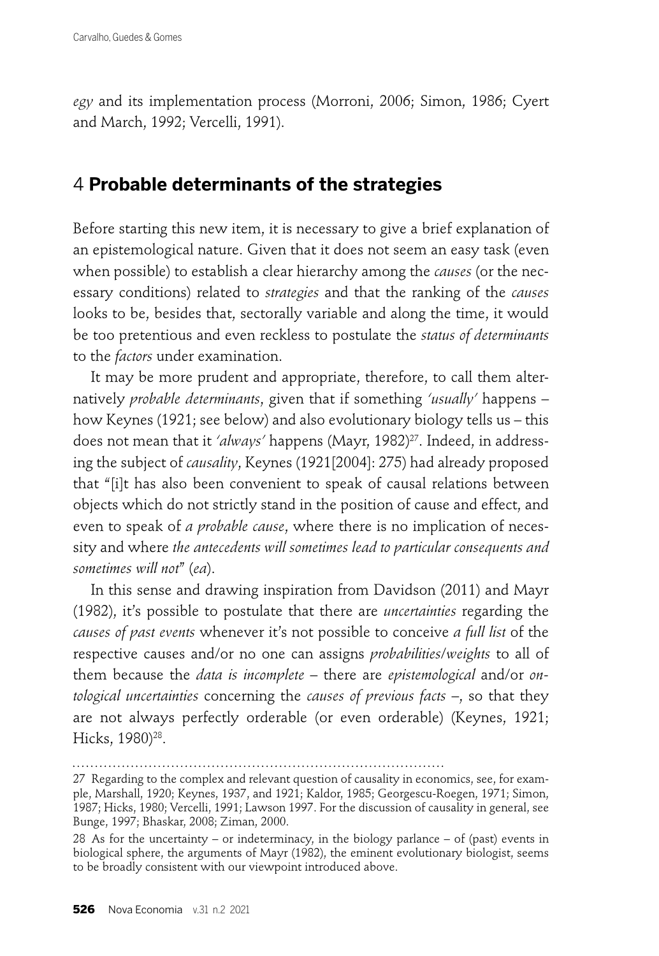*egy* and its implementation process (Morroni, 2006; Simon, 1986; Cyert and March, 1992; Vercelli, 1991).

## 4 **Probable determinants of the strategies**

Before starting this new item, it is necessary to give a brief explanation of an epistemological nature. Given that it does not seem an easy task (even when possible) to establish a clear hierarchy among the *causes* (or the necessary conditions) related to *strategies* and that the ranking of the *causes* looks to be, besides that, sectorally variable and along the time, it would be too pretentious and even reckless to postulate the *status of determinants* to the *factors* under examination.

It may be more prudent and appropriate, therefore, to call them alternatively *probable determinants*, given that if something *'usually'* happens – how Keynes (1921; see below) and also evolutionary biology tells us – this does not mean that it *'always'* happens (Mayr, 1982)<sup>27</sup>. Indeed, in addressing the subject of *causality*, Keynes (1921[2004]: 275) had already proposed that "[i]t has also been convenient to speak of causal relations between objects which do not strictly stand in the position of cause and effect, and even to speak of *a probable cause*, where there is no implication of necessity and where *the antecedents will sometimes lead to particular consequents and sometimes will not*" (*ea*).

In this sense and drawing inspiration from Davidson (2011) and Mayr (1982), it's possible to postulate that there are *uncertainties* regarding the *causes of past events* whenever it's not possible to conceive *a full list* of the respective causes and/or no one can assigns *probabilities*/*weights* to all of them because the *data is incomplete* – there are *epistemological* and/or *ontological uncertainties* concerning the *causes of previous facts* –, so that they are not always perfectly orderable (or even orderable) (Keynes, 1921; Hicks, 1980)<sup>28</sup>.

<sup>27</sup> Regarding to the complex and relevant question of causality in economics, see, for example, Marshall, 1920; Keynes, 1937, and 1921; Kaldor, 1985; Georgescu-Roegen, 1971; Simon, 1987; Hicks, 1980; Vercelli, 1991; Lawson 1997. For the discussion of causality in general, see Bunge, 1997; Bhaskar, 2008; Ziman, 2000.

<sup>28</sup> As for the uncertainty – or indeterminacy, in the biology parlance – of (past) events in biological sphere, the arguments of Mayr (1982), the eminent evolutionary biologist, seems to be broadly consistent with our viewpoint introduced above.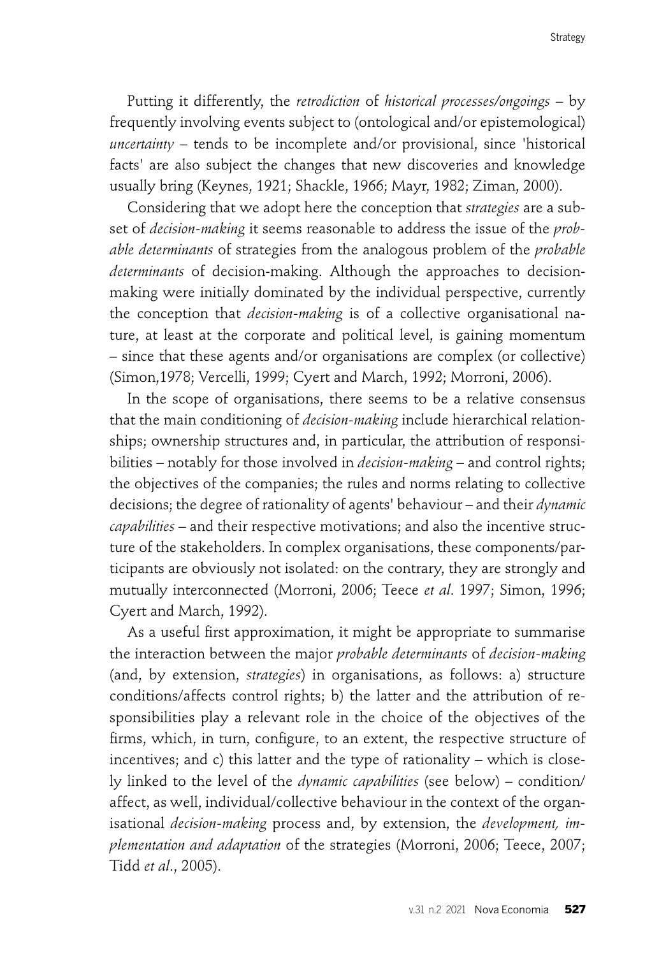Putting it differently, the *retrodiction* of *historical processes/ongoings* – by frequently involving events subject to (ontological and/or epistemological) *uncertainty* – tends to be incomplete and/or provisional, since 'historical facts' are also subject the changes that new discoveries and knowledge usually bring (Keynes, 1921; Shackle, 1966; Mayr, 1982; Ziman, 2000).

Considering that we adopt here the conception that *strategies* are a subset of *decision-making* it seems reasonable to address the issue of the *probable determinants* of strategies from the analogous problem of the *probable determinants* of decision-making. Although the approaches to decisionmaking were initially dominated by the individual perspective, currently the conception that *decision-making* is of a collective organisational nature, at least at the corporate and political level, is gaining momentum – since that these agents and/or organisations are complex (or collective) (Simon,1978; Vercelli, 1999; Cyert and March, 1992; Morroni, 2006).

In the scope of organisations, there seems to be a relative consensus that the main conditioning of *decision-making* include hierarchical relationships; ownership structures and, in particular, the attribution of responsibilities – notably for those involved in *decision-making* – and control rights; the objectives of the companies; the rules and norms relating to collective decisions; the degree of rationality of agents' behaviour – and their *dynamic capabilities* – and their respective motivations; and also the incentive structure of the stakeholders. In complex organisations, these components/participants are obviously not isolated: on the contrary, they are strongly and mutually interconnected (Morroni, 2006; Teece *et al*. 1997; Simon, 1996; Cyert and March, 1992).

As a useful first approximation, it might be appropriate to summarise the interaction between the major *probable determinants* of *decision-making* (and, by extension, *strategies*) in organisations, as follows: a) structure conditions/affects control rights; b) the latter and the attribution of responsibilities play a relevant role in the choice of the objectives of the firms, which, in turn, configure, to an extent, the respective structure of incentives; and c) this latter and the type of rationality – which is closely linked to the level of the *dynamic capabilities* (see below) – condition/ affect, as well, individual/collective behaviour in the context of the organisational *decision-making* process and, by extension, the *development, implementation and adaptation* of the strategies (Morroni, 2006; Teece, 2007; Tidd *et al*., 2005).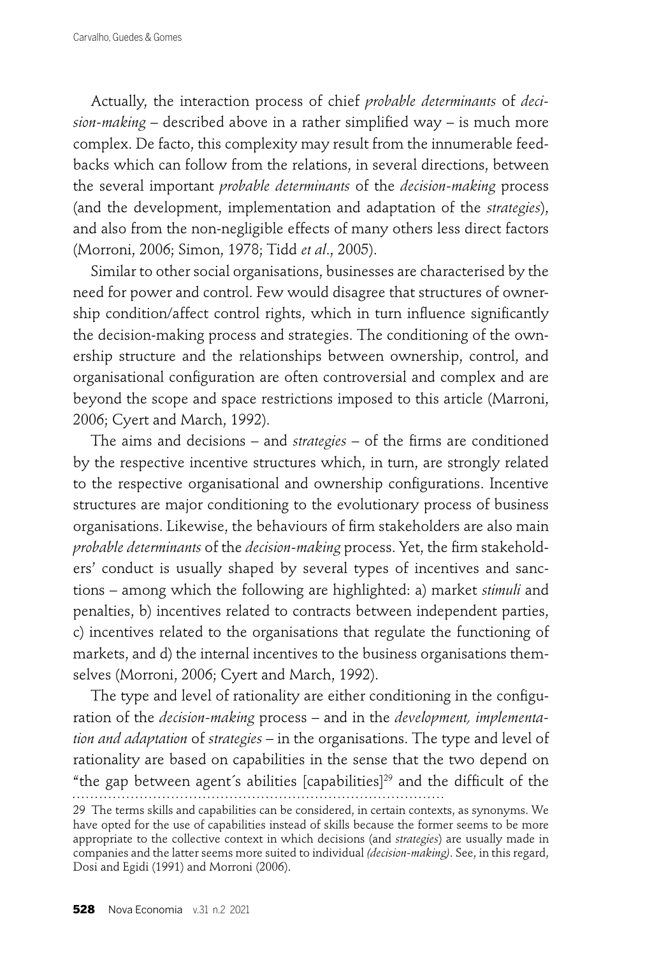Actually, the interaction process of chief *probable determinants* of *decision-making* – described above in a rather simplified way – is much more complex. De facto, this complexity may result from the innumerable feedbacks which can follow from the relations, in several directions, between the several important *probable determinants* of the *decision-making* process (and the development, implementation and adaptation of the *strategies*), and also from the non-negligible effects of many others less direct factors (Morroni, 2006; Simon, 1978; Tidd *et al*., 2005).

Similar to other social organisations, businesses are characterised by the need for power and control. Few would disagree that structures of ownership condition/affect control rights, which in turn influence significantly the decision-making process and strategies. The conditioning of the ownership structure and the relationships between ownership, control, and organisational configuration are often controversial and complex and are beyond the scope and space restrictions imposed to this article (Marroni, 2006; Cyert and March, 1992).

The aims and decisions – and *strategies* – of the firms are conditioned by the respective incentive structures which, in turn, are strongly related to the respective organisational and ownership configurations. Incentive structures are major conditioning to the evolutionary process of business organisations. Likewise, the behaviours of firm stakeholders are also main *probable determinants* of the *decision-making* process. Yet, the firm stakeholders' conduct is usually shaped by several types of incentives and sanctions – among which the following are highlighted: a) market *stimuli* and penalties, b) incentives related to contracts between independent parties, c) incentives related to the organisations that regulate the functioning of markets, and d) the internal incentives to the business organisations themselves (Morroni, 2006; Cyert and March, 1992).

The type and level of rationality are either conditioning in the configuration of the *decision-making* process – and in the *development, implementation and adaptation* of *strategies* – in the organisations. The type and level of rationality are based on capabilities in the sense that the two depend on "the gap between agent's abilities [capabilities]<sup>29</sup> and the difficult of the 

<sup>29</sup> The terms skills and capabilities can be considered, in certain contexts, as synonyms. We have opted for the use of capabilities instead of skills because the former seems to be more appropriate to the collective context in which decisions (and *strategies*) are usually made in companies and the latter seems more suited to individual *(decision-making)*. See, in this regard, Dosi and Egidi (1991) and Morroni (2006).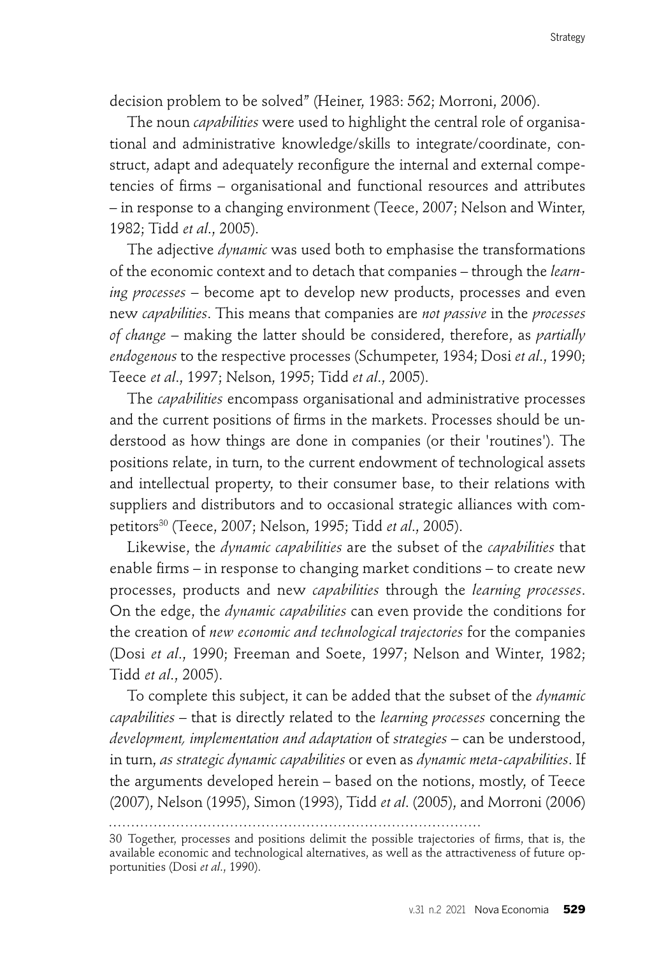decision problem to be solved" (Heiner, 1983: 562; Morroni, 2006).

The noun *capabilities* were used to highlight the central role of organisational and administrative knowledge/skills to integrate/coordinate, construct, adapt and adequately reconfigure the internal and external competencies of firms – organisational and functional resources and attributes – in response to a changing environment (Teece, 2007; Nelson and Winter, 1982; Tidd *et al*., 2005).

The adjective *dynamic* was used both to emphasise the transformations of the economic context and to detach that companies – through the *learning processes* – become apt to develop new products, processes and even new *capabilities*. This means that companies are *not passive* in the *processes of change* – making the latter should be considered, therefore, as *partially endogenous* to the respective processes (Schumpeter, 1934; Dosi *et al*., 1990; Teece *et al*., 1997; Nelson, 1995; Tidd *et al*., 2005).

The *capabilities* encompass organisational and administrative processes and the current positions of firms in the markets. Processes should be understood as how things are done in companies (or their 'routines'). The positions relate, in turn, to the current endowment of technological assets and intellectual property, to their consumer base, to their relations with suppliers and distributors and to occasional strategic alliances with competitors30 (Teece, 2007; Nelson, 1995; Tidd *et al*., 2005).

Likewise, the *dynamic capabilities* are the subset of the *capabilities* that enable firms – in response to changing market conditions – to create new processes, products and new *capabilities* through the *learning processes*. On the edge, the *dynamic capabilities* can even provide the conditions for the creation of *new economic and technological trajectories* for the companies (Dosi *et al*., 1990; Freeman and Soete, 1997; Nelson and Winter, 1982; Tidd *et al*., 2005).

To complete this subject, it can be added that the subset of the *dynamic capabilities* – that is directly related to the *learning processes* concerning the *development, implementation and adaptation* of *strategies* – can be understood, in turn, *as strategic dynamic capabilities* or even as *dynamic meta-capabilities*. If the arguments developed herein – based on the notions, mostly, of Teece (2007), Nelson (1995), Simon (1993), Tidd *et al*. (2005), and Morroni (2006)

<sup>30</sup> Together, processes and positions delimit the possible trajectories of firms, that is, the available economic and technological alternatives, as well as the attractiveness of future opportunities (Dosi *et al*., 1990).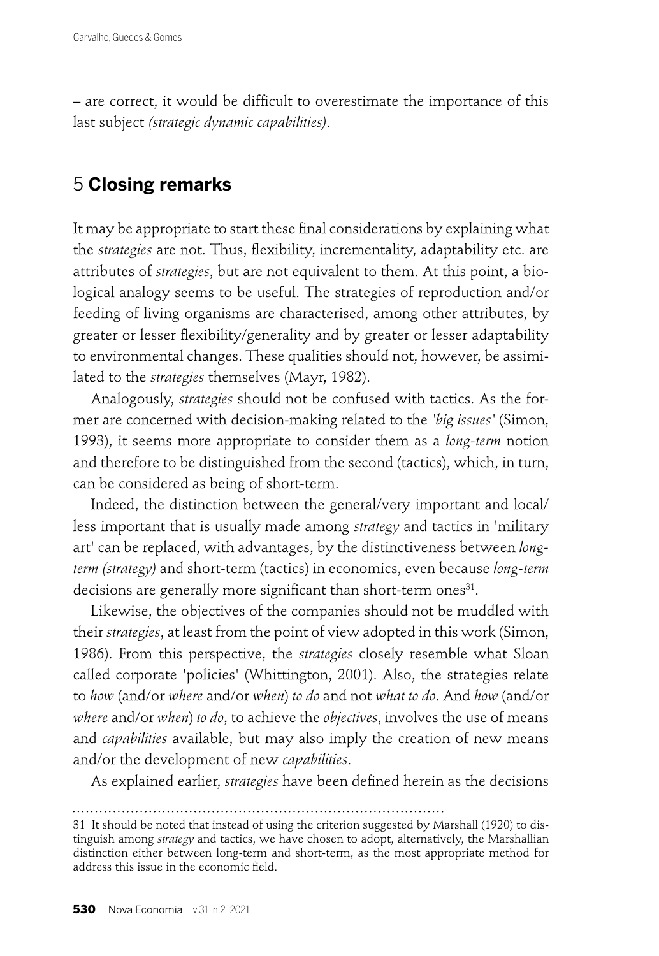– are correct, it would be difficult to overestimate the importance of this last subject *(strategic dynamic capabilities)*.

## 5 **Closing remarks**

It may be appropriate to start these final considerations by explaining what the *strategies* are not. Thus, flexibility, incrementality, adaptability etc. are attributes of *strategies*, but are not equivalent to them. At this point, a biological analogy seems to be useful. The strategies of reproduction and/or feeding of living organisms are characterised, among other attributes, by greater or lesser flexibility/generality and by greater or lesser adaptability to environmental changes. These qualities should not, however, be assimilated to the *strategies* themselves (Mayr, 1982).

Analogously, *strategies* should not be confused with tactics. As the former are concerned with decision-making related to the *'big issues'* (Simon, 1993), it seems more appropriate to consider them as a *long-term* notion and therefore to be distinguished from the second (tactics), which, in turn, can be considered as being of short-term.

Indeed, the distinction between the general/very important and local/ less important that is usually made among *strategy* and tactics in 'military art' can be replaced, with advantages, by the distinctiveness between *longterm (strategy)* and short-term (tactics) in economics, even because *long-term* decisions are generally more significant than short-term ones<sup>31</sup>.

Likewise, the objectives of the companies should not be muddled with their *strategies*, at least from the point of view adopted in this work (Simon, 1986). From this perspective, the *strategies* closely resemble what Sloan called corporate 'policies' (Whittington, 2001). Also, the strategies relate to *how* (and/or *where* and/or *when*) *to do* and not *what to do*. And *how* (and/or *where* and/or *when*) *to do*, to achieve the *objectives*, involves the use of means and *capabilities* available, but may also imply the creation of new means and/or the development of new *capabilities*.

As explained earlier, *strategies* have been defined herein as the decisions

<sup>31</sup> It should be noted that instead of using the criterion suggested by Marshall (1920) to distinguish among *strategy* and tactics, we have chosen to adopt, alternatively, the Marshallian distinction either between long-term and short-term, as the most appropriate method for address this issue in the economic field.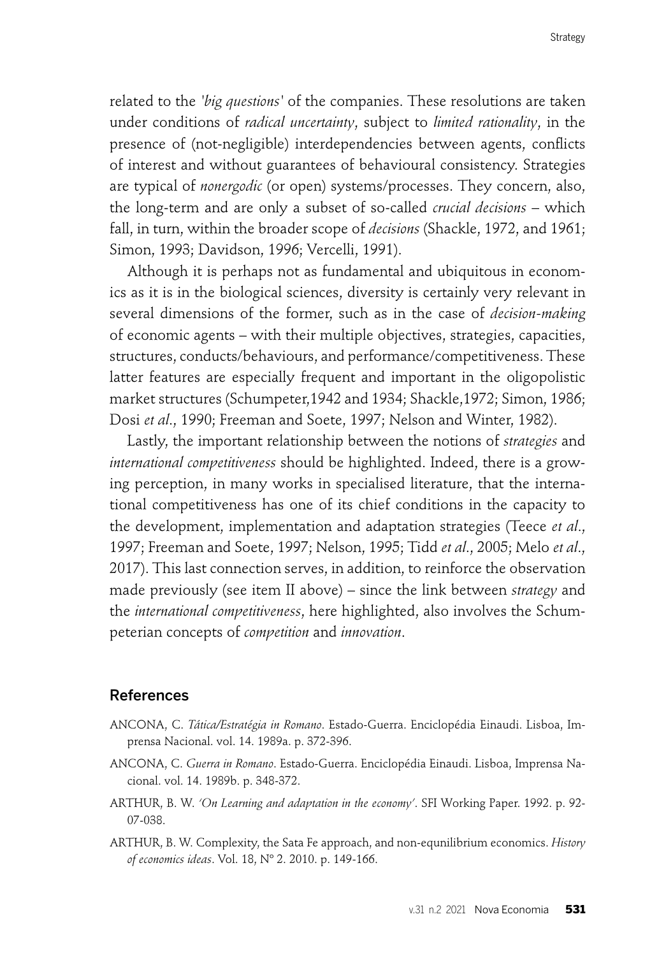related to the *'big questions'* of the companies. These resolutions are taken under conditions of *radical uncertainty*, subject to *limited rationality*, in the presence of (not-negligible) interdependencies between agents, conflicts of interest and without guarantees of behavioural consistency. Strategies are typical of *nonergodic* (or open) systems/processes. They concern, also, the long-term and are only a subset of so-called *crucial decisions* – which fall, in turn, within the broader scope of *decisions* (Shackle, 1972, and 1961; Simon, 1993; Davidson, 1996; Vercelli, 1991).

Although it is perhaps not as fundamental and ubiquitous in economics as it is in the biological sciences, diversity is certainly very relevant in several dimensions of the former, such as in the case of *decision-making*  of economic agents – with their multiple objectives, strategies, capacities, structures, conducts/behaviours, and performance/competitiveness. These latter features are especially frequent and important in the oligopolistic market structures (Schumpeter,1942 and 1934; Shackle,1972; Simon, 1986; Dosi *et al*., 1990; Freeman and Soete, 1997; Nelson and Winter, 1982).

Lastly, the important relationship between the notions of *strategies* and *international competitiveness* should be highlighted. Indeed, there is a growing perception, in many works in specialised literature, that the international competitiveness has one of its chief conditions in the capacity to the development, implementation and adaptation strategies (Teece *et al*., 1997; Freeman and Soete, 1997; Nelson, 1995; Tidd *et al*., 2005; Melo *et al*., 2017). This last connection serves, in addition, to reinforce the observation made previously (see item II above) – since the link between *strategy* and the *international competitiveness*, here highlighted, also involves the Schumpeterian concepts of *competition* and *innovation*.

### References

- ANCONA, C. *Tática/Estratégia in Romano*. Estado-Guerra. Enciclopédia Einaudi. Lisboa, Imprensa Nacional. vol. 14. 1989a. p. 372-396.
- ANCONA, C. *Guerra in Romano*. Estado-Guerra. Enciclopédia Einaudi. Lisboa, Imprensa Nacional. vol. 14. 1989b. p. 348-372.
- ARTHUR, B. W. *'On Learning and adaptation in the economy'*. SFI Working Paper. 1992. p. 92- 07-038.
- ARTHUR, B. W. Complexity, the Sata Fe approach, and non-equnilibrium economics. *History of economics ideas*. Vol. 18, Nº 2. 2010. p. 149-166.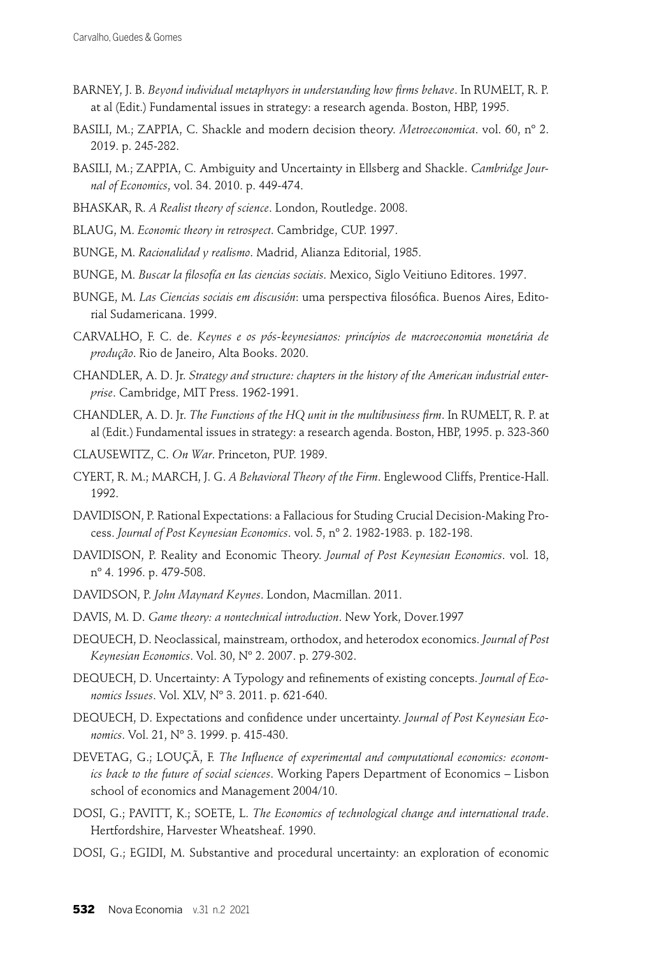- BARNEY, J. B. *Beyond individual metaphyors in understanding how firms behave*. In RUMELT, R. P. at al (Edit.) Fundamental issues in strategy: a research agenda. Boston, HBP, 1995.
- BASILI, M.; ZAPPIA, C. Shackle and modern decision theory. *Metroeconomica*. vol. 60, nº 2. 2019. p. 245-282.
- BASILI, M.; ZAPPIA, C. Ambiguity and Uncertainty in Ellsberg and Shackle. *Cambridge Journal of Economics*, vol. 34. 2010. p. 449-474.
- BHASKAR, R. *A Realist theory of science*. London, Routledge. 2008.
- BLAUG, M. *Economic theory in retrospect*. Cambridge, CUP. 1997.
- BUNGE, M. *Racionalidad y realismo*. Madrid, Alianza Editorial, 1985.
- BUNGE, M. *Buscar la filosofía en las ciencias sociais*. Mexico, Siglo Veitiuno Editores. 1997.
- BUNGE, M. *Las Ciencias sociais em discusión*: uma perspectiva filosófica. Buenos Aires, Editorial Sudamericana. 1999.
- CARVALHO, F. C. de. *Keynes e os pós-keynesianos: princípios de macroeconomia monetária de produção*. Rio de Janeiro, Alta Books. 2020.
- CHANDLER, A. D. Jr. *Strategy and structure: chapters in the history of the American industrial enterprise*. Cambridge, MIT Press. 1962-1991.
- CHANDLER, A. D. Jr. *The Functions of the HQ unit in the multibusiness firm*. In RUMELT, R. P. at al (Edit.) Fundamental issues in strategy: a research agenda. Boston, HBP, 1995. p. 323-360
- CLAUSEWITZ, C. *On War*. Princeton, PUP. 1989.
- CYERT, R. M.; MARCH, J. G. *A Behavioral Theory of the Firm*. Englewood Cliffs, Prentice-Hall. 1992.
- DAVIDISON, P. Rational Expectations: a Fallacious for Studing Crucial Decision-Making Process. *Journal of Post Keynesian Economics*. vol. 5, nº 2. 1982-1983. p. 182-198.
- DAVIDISON, P. Reality and Economic Theory. *Journal of Post Keynesian Economics*. vol. 18, nº 4. 1996. p. 479-508.
- DAVIDSON, P. *John Maynard Keynes*. London, Macmillan. 2011.
- DAVIS, M. D. *Game theory: a nontechnical introduction*. New York, Dover.1997
- DEQUECH, D. Neoclassical, mainstream, orthodox, and heterodox economics. *Journal of Post Keynesian Economics*. Vol. 30, Nº 2. 2007. p. 279-302.
- DEQUECH, D. Uncertainty: A Typology and refinements of existing concepts. *Journal of Economics Issues*. Vol. XLV, Nº 3. 2011. p. 621-640.
- DEQUECH, D. Expectations and confidence under uncertainty. *Journal of Post Keynesian Economics*. Vol. 21, Nº 3. 1999. p. 415-430.
- DEVETAG, G.; LOUÇÃ, F. The Influence of experimental and computational economics: econom*ics back to the future of social sciences*. Working Papers Department of Economics – Lisbon school of economics and Management 2004/10.
- DOSI, G.; PAVITT, K.; SOETE, L. *The Economics of technological change and international trade*. Hertfordshire, Harvester Wheatsheaf. 1990.
- DOSI, G.; EGIDI, M. Substantive and procedural uncertainty: an exploration of economic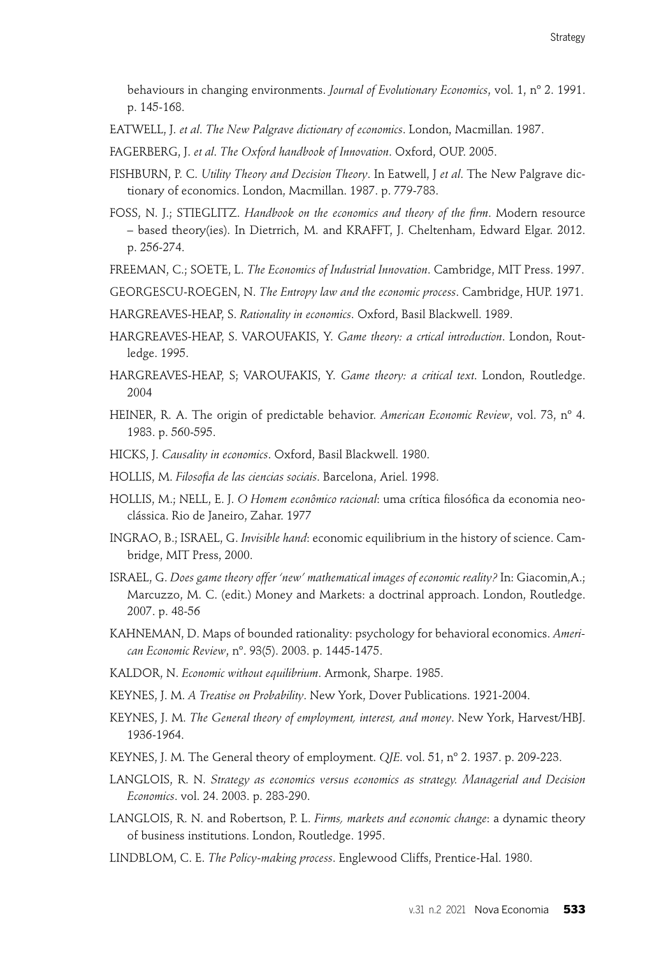behaviours in changing environments. *Journal of Evolutionary Economics*, vol. 1, nº 2. 1991. p. 145-168.

- EATWELL, J. *et al*. *The New Palgrave dictionary of economics*. London, Macmillan. 1987.
- FAGERBERG, J. *et al*. *The Oxford handbook of Innovation*. Oxford, OUP. 2005.
- FISHBURN, P. C. *Utility Theory and Decision Theory*. In Eatwell, J *et al*. The New Palgrave dictionary of economics. London, Macmillan. 1987. p. 779-783.
- FOSS, N. J.; STIEGLITZ. *Handbook on the economics and theory of the firm*. Modern resource – based theory(ies). In Dietrrich, M. and KRAFFT, J. Cheltenham, Edward Elgar. 2012. p. 256-274.
- FREEMAN, C.; SOETE, L. *The Economics of Industrial Innovation*. Cambridge, MIT Press. 1997.
- GEORGESCU-ROEGEN, N. *The Entropy law and the economic process*. Cambridge, HUP. 1971.
- HARGREAVES-HEAP, S. *Rationality in economics*. Oxford, Basil Blackwell. 1989.
- HARGREAVES-HEAP, S. VAROUFAKIS, Y. *Game theory: a crtical introduction*. London, Routledge. 1995.
- HARGREAVES-HEAP, S; VAROUFAKIS, Y. *Game theory: a critical text*. London, Routledge. 2004
- HEINER, R. A. The origin of predictable behavior. *American Economic Review*, vol. 73, nº 4. 1983. p. 560-595.
- HICKS, J. *Causality in economics*. Oxford, Basil Blackwell. 1980.
- HOLLIS, M. *Filosofia de las ciencias sociais*. Barcelona, Ariel. 1998.
- HOLLIS, M.; NELL, E. J. *O Homem econômico racional*: uma crítica filosófica da economia neoclássica. Rio de Janeiro, Zahar. 1977
- INGRAO, B.; ISRAEL, G. *Invisible hand*: economic equilibrium in the history of science. Cambridge, MIT Press, 2000.
- ISRAEL, G. *Does game theory offer 'new' mathematical images of economic reality?* In: Giacomin,A.; Marcuzzo, M. C. (edit.) Money and Markets: a doctrinal approach. London, Routledge. 2007. p. 48-56
- KAHNEMAN, D. Maps of bounded rationality: psychology for behavioral economics. *American Economic Review*, nº. 93(5). 2003. p. 1445-1475.
- KALDOR, N. *Economic without equilibrium*. Armonk, Sharpe. 1985.
- KEYNES, J. M. *A Treatise on Probability*. New York, Dover Publications. 1921-2004.
- KEYNES, J. M. *The General theory of employment, interest, and money*. New York, Harvest/HBJ. 1936-1964.
- KEYNES, J. M. The General theory of employment. *QJE*. vol. 51, nº 2. 1937. p. 209-223.
- LANGLOIS, R. N. *Strategy as economics versus economics as strategy. Managerial and Decision Economics*. vol. 24. 2003. p. 283-290.
- LANGLOIS, R. N. and Robertson, P. L. *Firms, markets and economic change*: a dynamic theory of business institutions. London, Routledge. 1995.
- LINDBLOM, C. E. *The Policy-making process*. Englewood Cliffs, Prentice-Hal. 1980.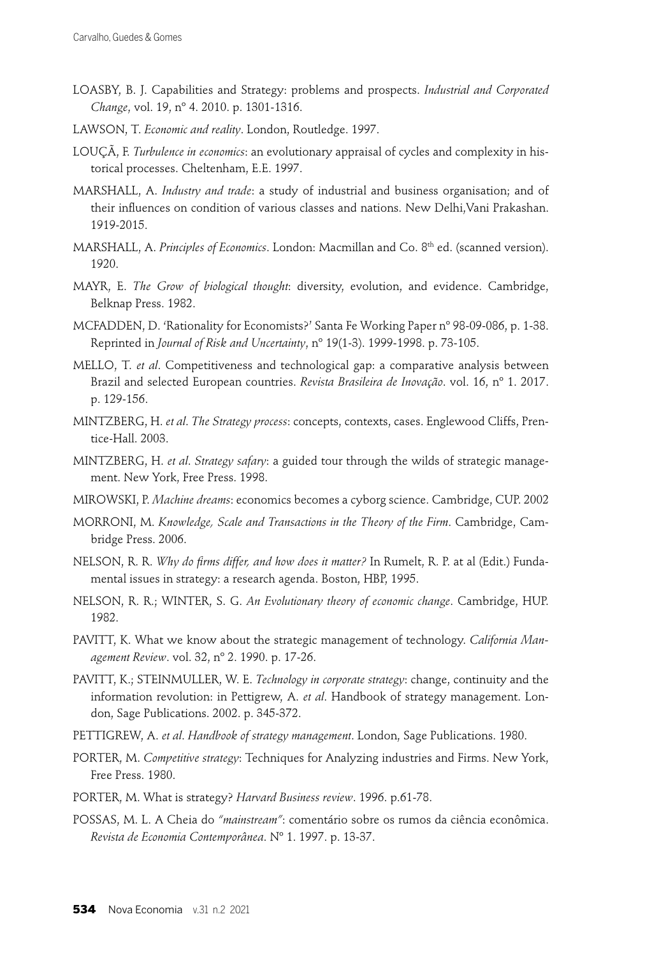- LOASBY, B. J. Capabilities and Strategy: problems and prospects. *Industrial and Corporated Change*, vol. 19, nº 4. 2010. p. 1301-1316.
- LAWSON, T. *Economic and reality*. London, Routledge. 1997.
- LOUÇÃ, F. *Turbulence in economics*: an evolutionary appraisal of cycles and complexity in historical processes. Cheltenham, E.E. 1997.
- MARSHALL, A. *Industry and trade*: a study of industrial and business organisation; and of their influences on condition of various classes and nations. New Delhi, Vani Prakashan. 1919-2015.
- MARSHALL, A. *Principles of Economics*. London: Macmillan and Co. 8<sup>th</sup> ed. (scanned version). 1920.
- MAYR, E. *The Grow of biological thought*: diversity, evolution, and evidence. Cambridge, Belknap Press. 1982.
- MCFADDEN, D. 'Rationality for Economists?' Santa Fe Working Paper nº 98-09-086, p. 1-38. Reprinted in *Journal of Risk and Uncertainty*, nº 19(1-3). 1999-1998. p. 73-105.
- MELLO, T. *et al*. Competitiveness and technological gap: a comparative analysis between Brazil and selected European countries. *Revista Brasileira de Inovação*. vol. 16, nº 1. 2017. p. 129-156.
- MINTZBERG, H. *et al*. *The Strategy process*: concepts, contexts, cases. Englewood Cliffs, Prentice-Hall. 2003.
- MINTZBERG, H. *et al*. *Strategy safary*: a guided tour through the wilds of strategic management. New York, Free Press. 1998.
- MIROWSKI, P. *Machine dreams*: economics becomes a cyborg science. Cambridge, CUP. 2002
- MORRONI, M. *Knowledge, Scale and Transactions in the Theory of the Firm*. Cambridge, Cambridge Press. 2006.
- NELSON, R. R. *Why do firms differ, and how does it matter*? In Rumelt, R. P. at al (Edit.) Fundamental issues in strategy: a research agenda. Boston, HBP, 1995.
- NELSON, R. R.; WINTER, S. G. *An Evolutionary theory of economic change*. Cambridge, HUP. 1982.
- PAVITT, K. What we know about the strategic management of technology. *California Management Review*. vol. 32, nº 2. 1990. p. 17-26.
- PAVITT, K.; STEINMULLER, W. E. *Technology in corporate strategy*: change, continuity and the information revolution: in Pettigrew, A. *et al*. Handbook of strategy management. London, Sage Publications. 2002. p. 345-372.
- PETTIGREW, A. *et al*. *Handbook of strategy management*. London, Sage Publications. 1980.
- PORTER, M. *Competitive strategy*: Techniques for Analyzing industries and Firms. New York, Free Press. 1980.
- PORTER, M. What is strategy? *Harvard Business review*. 1996. p.61-78.
- POSSAS, M. L. A Cheia do *"mainstream"*: comentário sobre os rumos da ciência econômica. *Revista de Economia Contemporânea*. Nº 1. 1997. p. 13-37.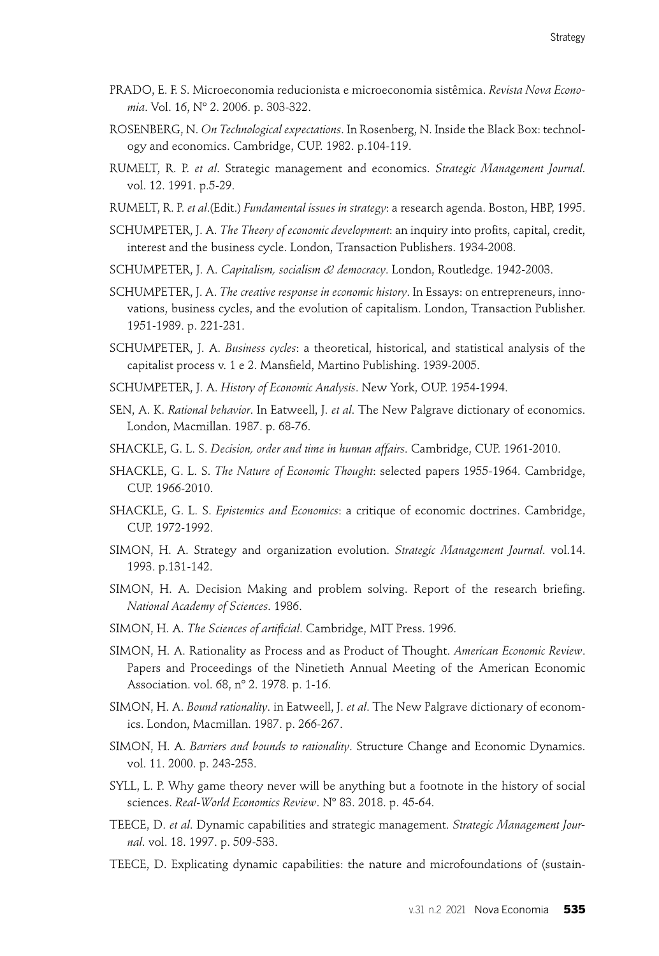- PRADO, E. F. S. Microeconomia reducionista e microeconomia sistêmica. *Revista Nova Economia*. Vol. 16, Nº 2. 2006. p. 303-322.
- ROSENBERG, N. *On Technological expectations*. In Rosenberg, N. Inside the Black Box: technology and economics. Cambridge, CUP. 1982. p.104-119.
- RUMELT, R. P. *et al*. Strategic management and economics. *Strategic Management Journal*. vol. 12. 1991. p.5-29.
- RUMELT, R. P. *et al*.(Edit.) *Fundamental issues in strategy*: a research agenda. Boston, HBP, 1995.
- SCHUMPETER, J. A. *The Theory of economic development*: an inquiry into profits, capital, credit, interest and the business cycle. London, Transaction Publishers. 1934-2008.
- SCHUMPETER, J. A. *Capitalism, socialism & democracy*. London, Routledge. 1942-2003.
- SCHUMPETER, J. A. *The creative response in economic history*. In Essays: on entrepreneurs, innovations, business cycles, and the evolution of capitalism. London, Transaction Publisher. 1951-1989. p. 221-231.
- SCHUMPETER, J. A. *Business cycles*: a theoretical, historical, and statistical analysis of the capitalist process v. 1 e 2. Mansfield, Martino Publishing. 1939-2005.
- SCHUMPETER, J. A. *History of Economic Analysis*. New York, OUP. 1954-1994.
- SEN, A. K. *Rational behavior*. In Eatweell, J. *et al*. The New Palgrave dictionary of economics. London, Macmillan. 1987. p. 68-76.
- SHACKLE, G. L. S. *Decision, order and time in human affairs*. Cambridge, CUP. 1961-2010.
- SHACKLE, G. L. S. *The Nature of Economic Thought*: selected papers 1955-1964. Cambridge, CUP. 1966-2010.
- SHACKLE, G. L. S. *Epistemics and Economics*: a critique of economic doctrines. Cambridge, CUP. 1972-1992.
- SIMON, H. A. Strategy and organization evolution. *Strategic Management Journal*. vol.14. 1993. p.131-142.
- SIMON, H. A. Decision Making and problem solving. Report of the research briefing. *National Academy of Sciences*. 1986.
- SIMON, H. A. *The Sciences of artificial*. Cambridge, MIT Press. 1996.
- SIMON, H. A. Rationality as Process and as Product of Thought. *American Economic Review*. Papers and Proceedings of the Ninetieth Annual Meeting of the American Economic Association. vol. 68, nº 2. 1978. p. 1-16.
- SIMON, H. A. *Bound rationality*. in Eatweell, J. *et al*. The New Palgrave dictionary of economics. London, Macmillan. 1987. p. 266-267.
- SIMON, H. A. *Barriers and bounds to rationality*. Structure Change and Economic Dynamics. vol. 11. 2000. p. 243-253.
- SYLL, L. P. Why game theory never will be anything but a footnote in the history of social sciences. *Real-World Economics Review*. Nº 83. 2018. p. 45-64.
- TEECE, D. *et al*. Dynamic capabilities and strategic management. *Strategic Management Journal*. vol. 18. 1997. p. 509-533.
- TEECE, D. Explicating dynamic capabilities: the nature and microfoundations of (sustain-